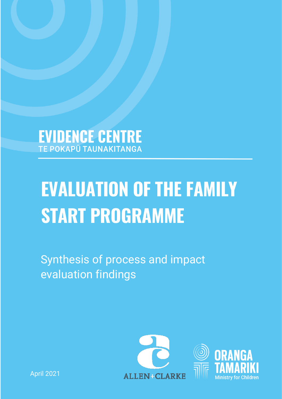**EVIDENCE CENTRE**<br>TE POKAPŪ TAUNAKITANGA

# **EVALUATION OF THE FAMILY START PROGRAMME**

Synthesis of process and impact evaluation findings



April 2021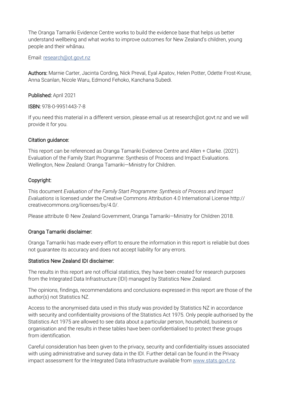The Oranga Tamariki Evidence Centre works to build the evidence base that helps us better understand wellbeing and what works to improve outcomes for New Zealand's children, young people and their whānau.

Email: [research@ot.govt.nz](mailto:research@ot.govt.nz)

Authors: Marnie Carter, Jacinta Cording, Nick Preval, Eyal Apatov, Helen Potter, Odette Frost-Kruse, Anna Scanlan, Nicole Waru, Edmond Fehoko, Kanchana Subedi.

Published: April 2021

ISBN: 978-0-9951443-7-8

If you need this material in a different version, please email us at research@ot.govt.nz and we will provide it for you.

#### Citation guidance:

This report can be referenced as Oranga Tamariki Evidence Centre and Allen + Clarke. (2021). Evaluation of the Family Start Programme: Synthesis of Process and Impact Evaluations. Wellington, New Zealand: Oranga Tamariki—Ministry for Children.

#### Copyright:

This document *Evaluation of the Family Start Programme: Synthesis of Process and Impact Evaluations* is licensed under the Creative Commons Attribution 4.0 International License http:// creativecommons.org/licenses/by/4.0/.

Please attribute © New Zealand Government, Oranga Tamariki—Ministry for Children 2018.

#### Oranga Tamariki disclaimer:

Oranga Tamariki has made every effort to ensure the information in this report is reliable but does not guarantee its accuracy and does not accept liability for any errors.

#### Statistics New Zealand IDI disclaimer:

The results in this report are not official statistics, they have been created for research purposes from the Integrated Data Infrastructure (IDI) managed by Statistics New Zealand.

The opinions, findings, recommendations and conclusions expressed in this report are those of the author(s) not Statistics NZ.

Access to the anonymised data used in this study was provided by Statistics NZ in accordance with security and confidentiality provisions of the Statistics Act 1975. Only people authorised by the Statistics Act 1975 are allowed to see data about a particular person, household, business or organisation and the results in these tables have been confidentialised to protect these groups from identification.

Careful consideration has been given to the privacy, security and confidentiality issues associated with using administrative and survey data in the IDI. Further detail can be found in the Privacy impact assessment for the Integrated Data Infrastructure available from [www.stats.govt.nz.](http://www.stats.govt.nz/)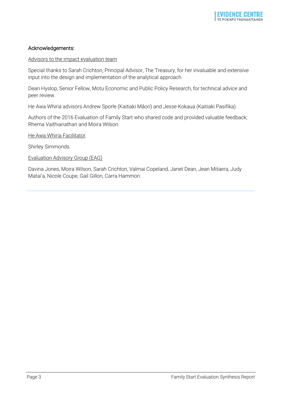#### Acknowledgements:

#### Advisors to the impact evaluation team

Special thanks to Sarah Crichton, Principal Advisor, The Treasury, for her invaluable and extensive input into the design and implementation of the analytical approach.

Dean Hyslop, Senior Fellow, Motu Economic and Public Policy Research, for technical advice and peer review.

He Awa Whiria advisors Andrew Sporle (Kaitiaki Māori) and Jesse Kokaua (Kaitiaki Pasifika).

Authors of the 2016 Evaluation of Family Start who shared code and provided valuable feedback; Rhema Vaithianathan and Moira Wilson.

He Awa Whiria Facilitator

Shirley Simmonds.

#### Evaluation Advisory Group (EAG)

Davina Jones, Moira Wilson, Sarah Crichton, Valmai Copeland, Janet Dean, Jean Mitaera, Judy Matai'a, Nicole Coupe, Gail Gillon, Carra Hammon.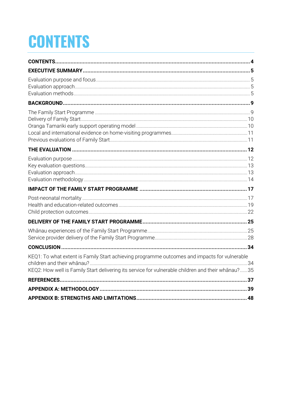# <span id="page-3-0"></span>**CONTENTS**

| KEQ1: To what extent is Family Start achieving programme outcomes and impacts for vulnerable<br>KEQ2: How well is Family Start delivering its service for vulnerable children and their whanau?35 | .34 |
|---------------------------------------------------------------------------------------------------------------------------------------------------------------------------------------------------|-----|
|                                                                                                                                                                                                   |     |
|                                                                                                                                                                                                   |     |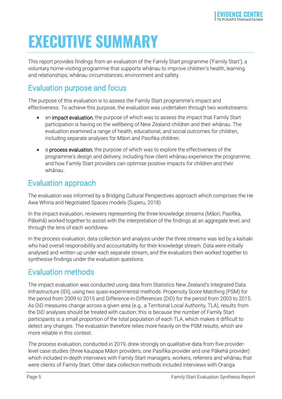## <span id="page-4-0"></span>**EXECUTIVE SUMMARY**

This report provides findings from an evaluation of the Family Start programme ('Family Start'), a voluntary home-visiting programme that supports whānau to improve children's health, learning and relationships, whānau circumstances, environment and safety.

## <span id="page-4-1"></span>Evaluation purpose and focus

The purpose of this evaluation is to assess the Family Start programme's impact and effectiveness. To achieve this purpose, the evaluation was undertaken through two workstreams:

- an impact evaluation, the purpose of which was to assess the impact that Family Start participation is having on the wellbeing of New Zealand children and their whānau. The evaluation examined a range of health, educational, and social outcomes for children, including separate analyses for Māori and Pasifika children.
- a process evaluation, the purpose of which was to explore the effectiveness of the programme's design and delivery, including how client whānau experience the programme, and how Family Start providers can optimise positive impacts for children and their whānau.

## <span id="page-4-2"></span>Evaluation approach

The evaluation was informed by a Bridging Cultural Perspectives approach which comprises the He Awa Whiria and Negotiated Spaces models (Superu, 2018)

In the impact evaluation, reviewers representing the three knowledge streams (Māori, Pasifika, Pākehā) worked together to assist with the interpretation of the findings at an aggregate level, and through the lens of each worldview.

In the process evaluation, data collection and analysis under the three streams was led by a kaitiaki who had overall responsibility and accountability for their knowledge stream. Data were initially analysed and written up under each separate stream, and the evaluators then worked together to synthesise findings under the evaluation questions.

## <span id="page-4-3"></span>Evaluation methods

The impact evaluation was conducted using data from Statistics New Zealand's Integrated Data Infrastructure (IDI), using two quasi-experimental methods: Propensity Score Matching (PSM) for the period from 2009 to 2015 and Difference-in-Differences (DiD) for the period from 2003 to 2015. As DiD measures change across a given area (e.g., a Territorial Local Authority, TLA), results from the DiD analyses should be treated with caution; this is because the number of Family Start participants is a small proportion of the total population of each TLA, which makes it difficult to detect any changes. The evaluation therefore relies more heavily on the PSM results, which are more reliable in this context.

The process evaluation, conducted in 2019, drew strongly on qualitative data from five providerlevel case studies (three kaupapa Māori providers, one Pasifika provider and one Pākehā provider) which included in-depth interviews with Family Start managers, workers, referrers and whānau that were clients of Family Start. Other data collection methods included interviews with Oranga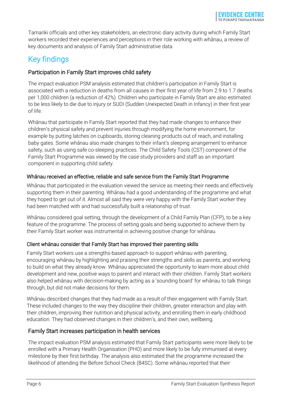Tamariki officials and other key stakeholders, an electronic diary activity during which Family Start workers recorded their experiences and perceptions in their role working with whānau, a review of key documents and analysis of Family Start administrative data.

## Key findings

#### Participation in Family Start improves child safety

The impact evaluation PSM analysis estimated that children's participation in Family Start is associated with a reduction in deaths from all causes in their first year of life from 2.9 to 1.7 deaths per 1,000 children (a reduction of 42%). Children who participate in Family Start are also estimated to be less likely to die due to injury or SUDI (Sudden Unexpected Death in Infancy) in their first year of life.

Whānau that participate in Family Start reported that they had made changes to enhance their children's physical safety and prevent injuries through modifying the home environment, for example by putting latches on cupboards, storing cleaning products out of reach, and installing baby gates. Some whānau also made changes to their infant's sleeping arrangement to enhance safety, such as using safe co-sleeping practices. The Child Safety Tools (CST) component of the Family Start Programme was viewed by the case study providers and staff as an important component in supporting child safety.

#### Whānau received an effective, reliable and safe service from the Family Start Programme

Whānau that participated in the evaluation viewed the service as meeting their needs and effectively supporting them in their parenting. Whānau had a good understanding of the programme and what they hoped to get out of it. Almost all said they were very happy with the Family Start worker they had been matched with and had successfully built a relationship of trust.

Whānau considered goal setting, through the development of a Child Family Plan (CFP), to be a key feature of the programme. The process of setting goals and being supported to achieve them by their Family Start worker was instrumental in achieving positive change for whānau.

#### Client whānau consider that Family Start has improved their parenting skills

Family Start workers use a strengths-based approach to support whānau with parenting, encouraging whānau by highlighting and praising their strengths and skills as parents, and working to build on what they already know. Whānau appreciated the opportunity to learn more about child development and new, positive ways to parent and interact with their children. Family Start workers also helped whānau with decision-making by acting as a 'sounding board' for whānau to talk things through, but did not make decisions for them.

Whānau described changes that they had made as a result of their engagement with Family Start. These included changes to the way they discipline their children, greater interaction and play with their children, improving their nutrition and physical activity, and enrolling them in early childhood education. They had observed changes in their children's, and their own, wellbeing.

#### Family Start increases participation in health services

The impact evaluation PSM analysis estimated that Family Start participants were more likely to be enrolled with a Primary Health Organisation (PHO) and more likely to be fully immunised at every milestone by their first birthday. The analysis also estimated that the programme increased the likelihood of attending the Before School Check (B4SC). Some whānau reported that their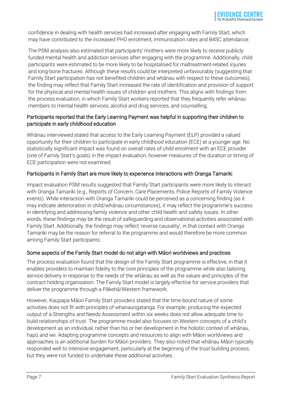confidence in dealing with health services had increased after engaging with Family Start, which may have contributed to the increased PHO enrolment, immunisation rates and B4SC attendance.

The PSM analysis also estimated that participants' mothers were more likely to receive publicly funded mental health and addiction services after engaging with the programme. Additionally, child participants were estimated to be more likely to be hospitalised for maltreatment-related injuries and long-bone fractures. Although these results could be interpreted unfavourably (suggesting that Family Start participation has not benefited children and whānau with respect to these outcomes), the finding may reflect that Family Start increased the rate of identification and provision of support for the physical and mental health issues of children and mothers. This aligns with findings from the process evaluation, in which Family Start workers reported that they frequently refer whānau members to mental health services, alcohol and drug services, and counselling.

#### Participants reported that the Early Learning Payment was helpful in supporting their children to participate in early childhood education

Whānau interviewed stated that access to the Early Learning Payment (ELP) provided a valued opportunity for their children to participate in early childhood education (ECE) at a younger age. No statistically significant impact was found on overall rates of child enrolment with an ECE provider (one of Family Start's goals) in the impact evaluation, however measures of the duration or timing of ECE participation were not examined.

#### Participants in Family Start are more likely to experience interactions with Oranga Tamariki

Impact evaluation PSM results suggested that Family Start participants were more likely to interact with Oranga Tamariki (e.g., Reports of Concern, Care Placements, Police Reports of Family Violence events). While interaction with Oranga Tamariki could be perceived as a concerning finding (as it may indicate deterioration in child/whānau circumstances), it may reflect the programme's success in identifying and addressing family violence and other child health and safety issues. In other words, these findings may be the result of safeguarding and observational activities associated with Family Start. Additionally, the findings may reflect 'reverse causality', in that contact with Oranga Tamariki may be the reason for referral to the programme and would therefore be more common among Family Start participants.

#### Some aspects of the Family Start model do not align with Māori worldviews and practices

The process evaluation found that the design of the Family Start programme is effective, in that it enables providers to maintain fidelity to the core principles of the programme while also tailoring service delivery in response to the needs of the whānau as well as the values and principles of the contract holding organisation. The Family Start model is largely effective for service providers that deliver the programme through a Pākehā/Western framework.

However, Kaupapa Māori Family Start providers stated that the time-bound nature of some activities does not fit with principles of whanaungatanga. For example, producing the expected output of a Strengths and Needs Assessment within six weeks does not allow adequate time to build relationships of trust. The programme model also focuses on Western concepts of a child's development as an individual, rather than his or her development in the holistic context of whānau, hapū and iwi. Adapting programme concepts and resources to align with Māori worldviews and approaches is an additional burden for Māori providers. They also noted that whānau Māori typically responded well to intensive engagement, particularly at the beginning of the trust building process, but they were not funded to undertake these additional activities.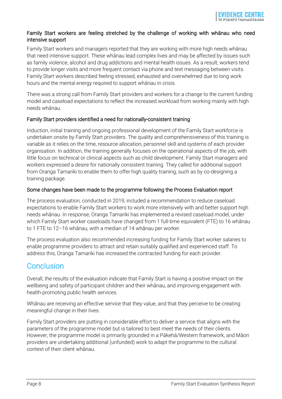#### Family Start workers are feeling stretched by the challenge of working with whānau who need intensive support

Family Start workers and managers reported that they are working with more high needs whānau that need intensive support. These whānau lead complex lives and may be affected by issues such as family violence, alcohol and drug addictions and mental health issues. As a result, workers tend to provide longer visits and more frequent contact via phone and text messaging between visits. Family Start workers described feeling stressed, exhausted and overwhelmed due to long work hours and the mental energy required to support whānau in crisis.

There was a strong call from Family Start providers and workers for a change to the current funding model and caseload expectations to reflect the increased workload from working mainly with high needs whānau.

#### Family Start providers identified a need for nationally-consistent training

Induction, initial training and ongoing professional development of the Family Start workforce is undertaken onsite by Family Start providers. The quality and comprehensiveness of this training is variable as it relies on the time, resource allocation, personnel skill and systems of each provider organisation. In addition, the training generally focuses on the operational aspects of the job, with little focus on technical or clinical aspects such as child development. Family Start managers and workers expressed a desire for nationally consistent training. They called for additional support from Oranga Tamariki to enable them to offer high quality training, such as by co-designing a training package.

#### Some changes have been made to the programme following the Process Evaluation report

The process evaluation, conducted in 2019, included a recommendation to reduce caseload expectations to enable Family Start workers to work more intensively with and better support high needs whānau. In response, Oranga Tamariki has implemented a revised caseload model, under which Family Start worker caseloads have changed from 1 full-time equivalent (FTE) to 16 whānau to 1 FTE to 12–16 whānau, with a median of 14 whānau per worker.

The process evaluation also recommended increasing funding for Family Start worker salaries to enable programme providers to attract and retain suitably qualified and experienced staff. To address this, Oranga Tamariki has increased the contracted funding for each provider.

### **Conclusion**

Overall, the results of the evaluation indicate that Family Start is having a positive impact on the wellbeing and safety of participant children and their whānau, and improving engagement with health-promoting public health services.

Whānau are receiving an effective service that they value, and that they perceive to be creating meaningful change in their lives.

Family Start providers are putting in considerable effort to deliver a service that aligns with the parameters of the programme model but is tailored to best meet the needs of their clients. However, the programme model is primarily grounded in a Pākehā/Western framework, and Māori providers are undertaking additional (unfunded) work to adapt the programme to the cultural context of their client whānau.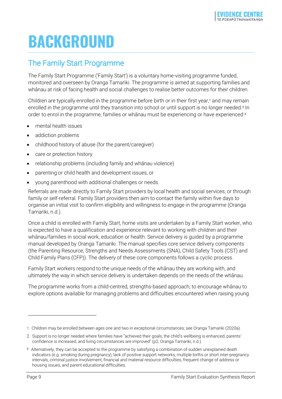## <span id="page-8-0"></span>**BACKGROUND**

## <span id="page-8-1"></span>The Family Start Programme

The Family Start Programme ('Family Start') is a voluntary home-visiting programme funded, monitored and overseen by Oranga Tamariki. The programme is aimed at supporting families and whānau at risk of facing health and social challenges to realise better outcomes for their children.

Children are typically enrolled in the programme before birth or in their first year,<sup>[1](#page-8-2)</sup> and may remain enrolled in the programme until they transition into school or until support is no longer needed.<sup>[2](#page-8-3)</sup> In order to enrol in the programme, families or whānau must be experiencing or have experienced:[3](#page-8-4)

- mental health issues
- addiction problems
- childhood history of abuse (for the parent/caregiver)
- care or protection history
- relationship problems (including family and whānau violence)
- parenting or child health and development issues, or
- young parenthood with additional challenges or needs.

Referrals are made directly to Family Start providers by local health and social services, or through family or self-referral. Family Start providers then aim to contact the family within five days to organise an initial visit to confirm eligibility and willingness to engage in the programme (Oranga Tamariki, n.d.).

Once a child is enrolled with Family Start, home visits are undertaken by a Family Start worker, who is expected to have a qualification and experience relevant to working with children and their whānau/families in social work, education or health. Service delivery is guided by a programme manual developed by Oranga Tamariki. The manual specifies core service delivery components (the Parenting Resource, Strengths and Needs Assessments (SNA), Child Safety Tools (CST) and Child Family Plans (CFP)). The delivery of these core components follows a cyclic process.

Family Start workers respond to the unique needs of the whānau they are working with, and ultimately the way in which service delivery is undertaken depends on the needs of the whānau.

The programme works from a child-centred, strengths-based approach, to encourage whānau to explore options available for managing problems and difficulties encountered when raising young

<span id="page-8-2"></span><sup>1</sup> Children may be enrolled between ages one and two in exceptional circumstances; see Oranga Tamariki (2020a).

<span id="page-8-3"></span><sup>2</sup> Support is no longer needed where families have "achieved their goals, the child's wellbeing is enhanced, parents' confidence is increased, and living circumstances are improved" (p2, Oranga Tamariki, n.d.).

<span id="page-8-4"></span><sup>&</sup>lt;sup>3</sup> Alternatively, they can be accepted to the programme by satisfying a combination of sudden unexplained death indicators (e.g. smoking during pregnancy), lack of positive support networks, multiple births or short inter-pregnancy intervals, criminal justice involvement, financial and material resource difficulties, frequent change of address or housing issues, and parent educational difficulties.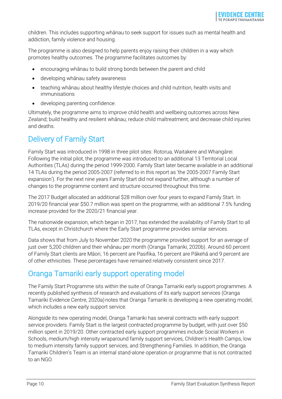children. This includes supporting whānau to seek support for issues such as mental health and addiction, family violence and housing.

The programme is also designed to help parents enjoy raising their children in a way which promotes healthy outcomes. The programme facilitates outcomes by:

- encouraging whānau to build strong bonds between the parent and child
- developing whānau safety awareness
- teaching whānau about healthy lifestyle choices and child nutrition, health visits and immunisations
- developing parenting confidence.

Ultimately, the programme aims to improve child health and wellbeing outcomes across New Zealand; build healthy and resilient whānau; reduce child maltreatment; and decrease child injuries and deaths.

## <span id="page-9-0"></span>Delivery of Family Start

Family Start was introduced in 1998 in three pilot sites: Rotorua, Waitakere and Whangārei. Following the initial pilot, the programme was introduced to an additional 13 Territorial Local Authorities (TLAs) during the period 1999-2000. Family Start later became available in an additional 14 TLAs during the period 2005-2007 (referred to in this report as 'the 2005-2007 Family Start expansion'). For the next nine years Family Start did not expand further, although a number of changes to the programme content and structure occurred throughout this time.

The 2017 Budget allocated an additional \$28 million over four years to expand Family Start. In 2019/20 financial year \$50.7 million was spent on the programme, with an additional 7.5% funding increase provided for the 2020/21 financial year.

The nationwide expansion, which began in 2017, has extended the availability of Family Start to all TLAs, except in Christchurch where the Early Start programme provides similar services.

Data shows that from July to November 2020 the programme provided support for an average of just over 5,200 children and their whānau per month (Oranga Tamariki, 2020b). Around 60 percent of Family Start clients are Māori, 16 percent are Pasifika, 16 percent are Pākehā and 9 percent are of other ethnicities. These percentages have remained relatively consistent since 2017.

### <span id="page-9-1"></span>Oranga Tamariki early support operating model

The Family Start Programme sits within the suite of Oranga Tamariki early support programmes. A recently published synthesis of research and evaluations of its early support services (Oranga Tamariki Evidence Centre, 2020a) notes that Oranga Tamariki is developing a new operating model, which includes a new early support service.

Alongside its new operating model, Oranga Tamariki has several contracts with early support service providers. Family Start is the largest contracted programme by budget, with just over \$50 million spent in 2019/20. Other contracted early support programmes include Social Workers in Schools, medium/high intensity wraparound family support services, Children's Health Camps, low to medium intensity family support services, and Strengthening Families. In addition, the Oranga Tamariki Children's Team is an internal stand-alone operation or programme that is not contracted to an NGO.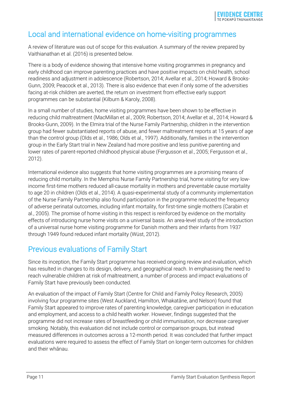### <span id="page-10-0"></span>Local and international evidence on home-visiting programmes

A review of literature was out of scope for this evaluation. A summary of the review prepared by Vaithianathan et al. (2016) is presented below.

There is a body of evidence showing that intensive home visiting programmes in pregnancy and early childhood can improve parenting practices and have positive impacts on child health, school readiness and adjustment in adolescence (Robertson, 2014; Avellar et al., 2014; Howard & Brooks-Gunn, 2009; Peacock et al., 2013). There is also evidence that even if only some of the adversities facing at-risk children are averted, the return on investment from effective early support programmes can be substantial (Kilburn & Karoly, 2008).

In a small number of studies, home visiting programmes have been shown to be effective in reducing child maltreatment (MacMillan et al., 2009; Robertson, 2014; Avellar et al., 2014; Howard & Brooks-Gunn, 2009). In the Elmira trial of the Nurse Family Partnership, children in the intervention group had fewer substantiated reports of abuse, and fewer maltreatment reports at 15 years of age than the control group (Olds et al., 1986; Olds et al., 1997). Additionally, families in the intervention group in the Early Start trial in New Zealand had more positive and less punitive parenting and lower rates of parent-reported childhood physical abuse (Fergusson et al., 2005; Fergusson et al., 2012).

International evidence also suggests that home visiting programmes are a promising means of reducing child mortality. In the Memphis Nurse Family Partnership trial, home visiting for very lowincome first-time mothers reduced all-cause mortality in mothers and preventable cause mortality to age 20 in children (Olds et al., 2014). A quasi-experimental study of a community implementation of the Nurse Family Partnership also found participation in the programme reduced the frequency of adverse perinatal outcomes, including infant mortality, for first-time single mothers (Carabin et al., 2005). The promise of home visiting in this respect is reinforced by evidence on the mortality effects of introducing nurse home visits on a universal basis. An area-level study of the introduction of a universal nurse home visiting programme for Danish mothers and their infants from 1937 through 1949 found reduced infant mortality (Wüst, 2012).

## <span id="page-10-1"></span>Previous evaluations of Family Start

Since its inception, the Family Start programme has received ongoing review and evaluation, which has resulted in changes to its design, delivery, and geographical reach. In emphasising the need to reach vulnerable children at risk of maltreatment, a number of process and impact evaluations of Family Start have previously been conducted.

An evaluation of the impact of Family Start (Centre for Child and Family Policy Research, 2005) involving four programme sites (West Auckland, Hamilton, Whakatāne, and Nelson) found that Family Start appeared to improve rates of parenting knowledge, caregiver participation in education and employment, and access to a child health worker. However, findings suggested that the programme did not increase rates of breastfeeding or child immunisation, nor decrease caregiver smoking. Notably, this evaluation did not include control or comparison groups, but instead measured differences in outcomes across a 12-month period. It was concluded that further impact evaluations were required to assess the effect of Family Start on longer-term outcomes for children and their whānau.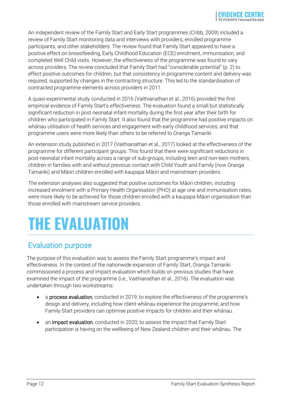An independent review of the Family Start and Early Start programmes (Cribb, 2009) included a review of Family Start monitoring data and interviews with providers, enrolled programme participants, and other stakeholders. The review found that Family Start appeared to have a positive effect on breastfeeding, Early Childhood Education (ECE) enrolment, immunisation, and completed Well Child visits. However, the effectiveness of the programme was found to vary across providers. The review concluded that Family Start had "considerable potential" (p. 2) to effect positive outcomes for children, but that consistency in programme content and delivery was required, supported by changes in the contracting structure. This led to the standardisation of contracted programme elements across providers in 2011.

A quasi-experimental study conducted in 2016 (Vaithianathan et al., 2016) provided the first empirical evidence of Family Start's effectiveness. The evaluation found a small but statistically significant reduction in post neonatal infant mortality during the first year after their birth for children who participated in Family Start. It also found that the programme had positive impacts on whānau utilisation of health services and engagement with early childhood services; and that programme users were more likely than others to be referred to Oranga Tamariki.

An extension study published in 2017 (Vaithianathan et al., 2017) looked at the effectiveness of the programme for different participant groups. This found that there were significant reductions in post-neonatal infant mortality across a range of sub-groups, including teen and non-teen mothers, children in families with and without previous contact with Child Youth and Family (now Oranga Tamariki) and Māori children enrolled with kaupapa Māori and mainstream providers.

The extension analyses also suggested that positive outcomes for Māori children, including increased enrolment with a Primary Health Organisation (PHO) at age one and immunisation rates, were more likely to be achieved for those children enrolled with a kaupapa Māori organisation than those enrolled with mainstream service providers.

## <span id="page-11-0"></span>**THE EVALUATION**

## <span id="page-11-1"></span>Evaluation purpose

The purpose of this evaluation was to assess the Family Start programme's impact and effectiveness. In the context of the nationwide expansion of Family Start, Oranga Tamariki commissioned a process and impact evaluation which builds on previous studies that have examined the impact of the programme (i.e., Vaithianathan et al., 2016). The evaluation was undertaken through two workstreams:

- a process evaluation, conducted in 2019, to explore the effectiveness of the programme's design and delivery, including how client whānau experience the programme, and how Family Start providers can optimise positive impacts for children and their whānau.
- an impact evaluation, conducted in 2020, to assess the impact that Family Start participation is having on the wellbeing of New Zealand children and their whānau. The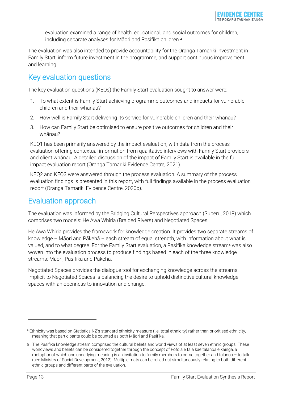evaluation examined a range of health, educational, and social outcomes for children, including separate analyses for Māori and Pasifika children.[4](#page-12-2)

The evaluation was also intended to provide accountability for the Oranga Tamariki investment in Family Start, inform future investment in the programme, and support continuous improvement and learning.

## <span id="page-12-0"></span>Key evaluation questions

The key evaluation questions (KEQs) the Family Start evaluation sought to answer were:

- 1. To what extent is Family Start achieving programme outcomes and impacts for vulnerable children and their whānau?
- 2. How well is Family Start delivering its service for vulnerable children and their whānau?
- 3. How can Family Start be optimised to ensure positive outcomes for children and their whānau?

KEQ1 has been primarily answered by the impact evaluation, with data from the process evaluation offering contextual information from qualitative interviews with Family Start providers and client whānau. A detailed discussion of the impact of Family Start is available in the full impact evaluation report (Oranga Tamariki Evidence Centre, 2021).

KEQ2 and KEQ3 were answered through the process evaluation. A summary of the process evaluation findings is presented in this report, with full findings available in the process evaluation report (Oranga Tamariki Evidence Centre, 2020b).

### <span id="page-12-1"></span>Evaluation approach

The evaluation was informed by the Bridging Cultural Perspectives approach (Superu, 2018) which comprises two models: He Awa Whiria (Braided Rivers) and Negotiated Spaces.

He Awa Whiria provides the framework for knowledge creation. It provides two separate streams of knowledge – Māori and Pākehā – each stream of equal strength, with information about what is valued, and to what degree. For the Family Start evaluation, a Pasifika knowledge stream<sup>[5](#page-12-3)</sup> was also woven into the evaluation process to produce findings based in each of the three knowledge streams: Māori, Pasifika and Pākehā.

Negotiated Spaces provides the dialogue tool for exchanging knowledge across the streams. Implicit to Negotiated Spaces is balancing the desire to uphold distinctive cultural knowledge spaces with an openness to innovation and change.

<span id="page-12-2"></span><sup>4</sup> Ethnicity was based on Statistics NZ's standard ethnicity measure (i.e. total ethnicity) rather than prioritised ethnicity, meaning that participants could be counted as both Māori and Pasifika.

<span id="page-12-3"></span><sup>5</sup> The Pasifika knowledge stream comprised the cultural beliefs and world views of at least seven ethnic groups. These worldviews and beliefs can be considered together through the concept of Fofola e fala kae talanoa e kāinga, a metaphor of which one underlying meaning is an invitation to family members to come together and talanoa – to talk (see Ministry of Social Development, 2012). Multiple mats can be rolled out simultaneously relating to both different ethnic groups and different parts of the evaluation.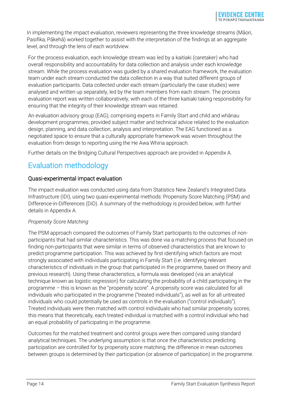In implementing the impact evaluation, reviewers representing the three knowledge streams (Māori, Pasifika, Pākehā) worked together to assist with the interpretation of the findings at an aggregate level, and through the lens of each worldview.

For the process evaluation, each knowledge stream was led by a kaitiaki (caretaker) who had overall responsibility and accountability for data collection and analysis under each knowledge stream. While the process evaluation was guided by a shared evaluation framework, the evaluation team under each stream conducted the data collection in a way that suited different groups of evaluation participants. Data collected under each stream (particularly the case studies) were analysed and written up separately, led by the team members from each stream. The process evaluation report was written collaboratively, with each of the three kaitiaki taking responsibility for ensuring that the integrity of their knowledge stream was retained.

An evaluation advisory group (EAG), comprising experts in Family Start and child and whānau development programmes, provided subject matter and technical advice related to the evaluation design, planning, and data collection, analysis and interpretation. The EAG functioned as a negotiated space to ensure that a culturally appropriate framework was woven throughout the evaluation from design to reporting using the He Awa Whiria approach.

Further details on the Bridging Cultural Perspectives approach are provided in Appendix A.

## <span id="page-13-0"></span>Evaluation methodology

#### Quasi-experimental impact evaluation

The impact evaluation was conducted using data from Statistics New Zealand's Integrated Data Infrastructure (IDI), using two quasi-experimental methods: Propensity Score Matching (PSM) and Difference-in-Differences (DiD). A summary of the methodology is provided below, with further details in Appendix A.

#### *Propensity Score Matching*

The PSM approach compared the outcomes of Family Start participants to the outcomes of nonparticipants that had similar characteristics. This was done via a matching process that focused on finding non-participants that were similar in terms of observed characteristics that are known to predict programme participation. This was achieved by first identifying which factors are most strongly associated with individuals participating in Family Start (i.e. identifying relevant characteristics of individuals in the group that participated in the programme, based on theory and previous research). Using these characteristics, a formula was developed (via an analytical technique known as logistic regression) for calculating the probability of a child participating in the programme – this is known as the "propensity score". A propensity score was calculated for all individuals who participated in the programme ("treated individuals"), as well as for all untreated individuals who could potentially be used as controls in the evaluation ("control individuals"). Treated individuals were then matched with control individuals who had similar propensity scores; this means that theoretically, each treated individual is matched with a control individual who had an equal probability of participating in the programme.

Outcomes for the matched treatment and control groups were then compared using standard analytical techniques. The underlying assumption is that once the characteristics predicting participation are controlled for by propensity score matching, the difference in mean outcomes between groups is determined by their participation (or absence of participation) in the programme.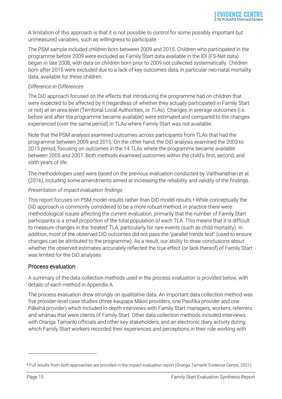A limitation of this approach is that it is not possible to control for some possibly important but unmeasured variables, such as willingness to participate.

The PSM sample included children born between 2009 and 2015. Children who participated in the programme before 2009 were excluded as Family Start data available in the IDI (FS-Net data) began in late 2008, with data on children born prior to 2009 not collected systematically. Children born after 2015 were excluded due to a lack of key outcomes data, in particular neo-natal mortality data, available for these children.

#### *Difference-in-Differences*

The DiD approach focused on the effects that introducing the programme had on children that were expected to be affected by it (regardless of whether they actually participated in Family Start or not) at an area level (Territorial Local Authorities, or TLAs). Changes in average outcomes (i.e. before and after the programme became available) were estimated and compared to the changes experienced (over the same period) in TLAs where Family Start was not available.

Note that the PSM analysis examined outcomes across participants from TLAs that had the programme between 2009 and 2015. On the other hand, the DiD analysis examined the 2003 to 2015 period, focusing on outcomes in the 14 TLAs where the programme became available between 2005 and 2007. Both methods examined outcomes within the child's first, second, and sixth years of life.

The methodologies used were based on the previous evaluation conducted by Vaithianathan et al. (2016), including some amendments aimed at increasing the reliability and validity of the findings.

#### *Presentation of impact evaluation findings*

This report focuses on PSM model results rather than DiD model results.<sup>[6](#page-14-0)</sup> While conceptually the DiD approach is commonly considered to be a more robust method, in practice there were methodological issues affecting the current evaluation, primarily that the number of Family Start participants is a small proportion of the total population of each TLA. This means that it is difficult to measure changes in the 'treated' TLA, particularly for rare events (such as child mortality). In addition, most of the observed DiD outcomes did not pass the "parallel trends test" (used to ensure changes can be attributed to the programme). As a result, our ability to draw conclusions about whether the observed estimates accurately reflected the true effect (or lack thereof) of Family Start was limited for the DiD analyses.

#### Process evaluation

A summary of the data collection methods used in the process evaluation is provided below, with details of each method in Appendix A.

The process evaluation drew strongly on qualitative data. An important data collection method was five provider-level case studies (three kaupapa Māori providers, one Pasifika provider and one Pākehā provider) which included in-depth interviews with Family Start managers, workers, referrers and whānau that were clients of Family Start. Other data collection methods included interviews with Oranga Tamariki officials and other key stakeholders, and an electronic diary activity during which Family Start workers recorded their experiences and perceptions in their role working with

<span id="page-14-0"></span><sup>6</sup> Full results from both approaches are provided in the impact evaluation report (Oranga Tamariki Evidence Centre, 2021).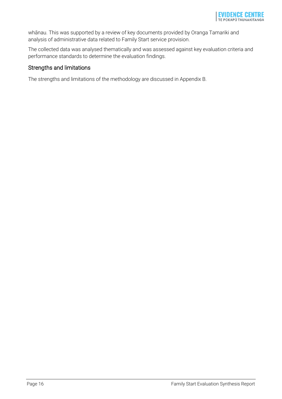whānau. This was supported by a review of key documents provided by Oranga Tamariki and analysis of administrative data related to Family Start service provision.

The collected data was analysed thematically and was assessed against key evaluation criteria and performance standards to determine the evaluation findings.

#### Strengths and limitations

The strengths and limitations of the methodology are discussed in Appendix B.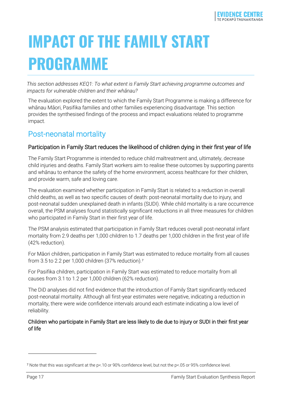# <span id="page-16-0"></span>**IMPACT OF THE FAMILY START PROGRAMME**

*This section addresses KEQ1: To what extent is Family Start achieving programme outcomes and impacts for vulnerable children and their whānau?*

The evaluation explored the extent to which the Family Start Programme is making a difference for whānau Māori, Pasifika families and other families experiencing disadvantage. This section provides the synthesised findings of the process and impact evaluations related to programme impact.

### <span id="page-16-1"></span>Post-neonatal mortality

#### Participation in Family Start reduces the likelihood of children dying in their first year of life

The Family Start Programme is intended to reduce child maltreatment and, ultimately, decrease child injuries and deaths. Family Start workers aim to realise these outcomes by supporting parents and whānau to enhance the safety of the home environment, access healthcare for their children, and provide warm, safe and loving care.

The evaluation examined whether participation in Family Start is related to a reduction in overall child deaths, as well as two specific causes of death: post-neonatal mortality due to injury, and post-neonatal sudden unexplained death in infants (SUDI). While child mortality is a rare occurrence overall, the PSM analyses found statistically significant reductions in all three measures for children who participated in Family Start in their first year of life.

The PSM analysis estimated that participation in Family Start reduces overall post-neonatal infant mortality from 2.9 deaths per 1,000 children to 1.7 deaths per 1,000 children in the first year of life (42% reduction).

For Māori children, participation in Family Start was estimated to reduce mortality from all causes from 3.5 to 2.2 per 1,000 children (37% reduction).[7](#page-16-2)

For Pasifika children, participation in Family Start was estimated to reduce mortality from all causes from 3.1 to 1.2 per 1,000 children (62% reduction).

The DiD analyses did not find evidence that the introduction of Family Start significantly reduced post-neonatal mortality. Although all first-year estimates were negative, indicating a reduction in mortality, there were wide confidence intervals around each estimate indicating a low level of reliability.

Children who participate in Family Start are less likely to die due to injury or SUDI in their first year of life

<span id="page-16-2"></span><sup>7</sup> Note that this was significant at the p<.10 or 90% confidence level, but not the p<.05 or 95% confidence level.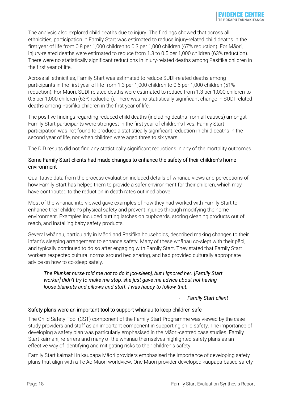The analysis also explored child deaths due to injury. The findings showed that across all ethnicities, participation in Family Start was estimated to reduce injury-related child deaths in the first year of life from 0.8 per 1,000 children to 0.3 per 1,000 children (67% reduction). For Māori, injury-related deaths were estimated to reduce from 1.3 to 0.5 per 1,000 children (63% reduction). There were no statistically significant reductions in injury-related deaths among Pasifika children in the first year of life.

Across all ethnicities, Family Start was estimated to reduce SUDI-related deaths among participants in the first year of life from 1.3 per 1,000 children to 0.6 per 1,000 children (51% reduction). For Māori, SUDI-related deaths were estimated to reduce from 1.3 per 1,000 children to 0.5 per 1,000 children (63% reduction). There was no statistically significant change in SUDI-related deaths among Pasifika children in the first year of life.

The positive findings regarding reduced child deaths (including deaths from all causes) amongst Family Start participants were strongest in the first year of children's lives. Family Start participation was not found to produce a statistically significant reduction in child deaths in the second year of life, nor when children were aged three to six years.

The DiD results did not find any statistically significant reductions in any of the mortality outcomes.

#### Some Family Start clients had made changes to enhance the safety of their children's home environment

Qualitative data from the process evaluation included details of whānau views and perceptions of how Family Start has helped them to provide a safer environment for their children, which may have contributed to the reduction in death rates outlined above.

Most of the whānau interviewed gave examples of how they had worked with Family Start to enhance their children's physical safety and prevent injuries through modifying the home environment. Examples included putting latches on cupboards, storing cleaning products out of reach, and installing baby safety products.

Several whānau, particularly in Māori and Pasifika households, described making changes to their infant's sleeping arrangement to enhance safety. Many of these whānau co-slept with their pēpi, and typically continued to do so after engaging with Family Start. They stated that Family Start workers respected cultural norms around bed sharing, and had provided culturally appropriate advice on how to co-sleep safely.

*The Plunket nurse told me not to do it [co-sleep], but I ignored her. [Family Start worker] didn't try to make me stop, she just gave me advice about not having loose blankets and pillows and stuff. I was happy to follow that.*

*- Family Start client*

#### Safety plans were an important tool to support whānau to keep children safe

The Child Safety Tool (CST) component of the Family Start Programme was viewed by the case study providers and staff as an important component in supporting child safety. The importance of developing a safety plan was particularly emphasised in the Māori-centred case studies. Family Start kaimahi, referrers and many of the whānau themselves highlighted safety plans as an effective way of identifying and mitigating risks to their children's safety.

Family Start kaimahi in kaupapa Māori providers emphasised the importance of developing safety plans that align with a Te Ao Māori worldview. One Māori provider developed kaupapa-based safety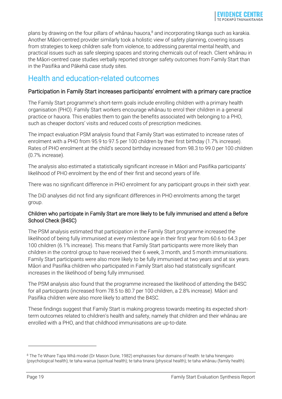plans by drawing on the four pillars of whanau hauora,<sup>[8](#page-18-1)</sup> and incorporating tikanga such as karakia. Another Māori-centred provider similarly took a holistic view of safety planning, covering issues from strategies to keep children safe from violence, to addressing parental mental health, and practical issues such as safe sleeping spaces and storing chemicals out of reach. Client whānau in the Māori-centred case studies verbally reported stronger safety outcomes from Family Start than in the Pasifika and Pākehā case study sites.

## <span id="page-18-0"></span>Health and education-related outcomes

#### Participation in Family Start increases participants' enrolment with a primary care practice

The Family Start programme's short-term goals include enrolling children with a primary health organisation (PHO). Family Start workers encourage whānau to enrol their children in a general practice or hauora. This enables them to gain the benefits associated with belonging to a PHO, such as cheaper doctors' visits and reduced costs of prescription medicines.

The impact evaluation PSM analysis found that Family Start was estimated to increase rates of enrolment with a PHO from 95.9 to 97.5 per 100 children by their first birthday (1.7% increase). Rates of PHO enrolment at the child's second birthday increased from 98.3 to 99.0 per 100 children (0.7% increase).

The analysis also estimated a statistically significant increase in Māori and Pasifika participants' likelihood of PHO enrolment by the end of their first and second years of life.

There was no significant difference in PHO enrolment for any participant groups in their sixth year.

The DiD analyses did not find any significant differences in PHO enrolments among the target group.

#### Children who participate in Family Start are more likely to be fully immunised and attend a Before School Check (B4SC)

The PSM analysis estimated that participation in the Family Start programme increased the likelihood of being fully immunised at every milestone age in their first year from 60.6 to 64.3 per 100 children (6.1% increase). This means that Family Start participants were more likely than children in the control group to have received their 6 week, 3 month, and 5 month immunisations. Family Start participants were also more likely to be fully immunised at two years and at six years. Māori and Pasifika children who participated in Family Start also had statistically significant increases in the likelihood of being fully immunised.

The PSM analysis also found that the programme increased the likelihood of attending the B4SC for all participants (increased from 78.5 to 80.7 per 100 children, a 2.8% increase). Māori and Pasifika children were also more likely to attend the B4SC.

These findings suggest that Family Start is making progress towards meeting its expected shortterm outcomes related to children's health and safety, namely that children and their whānau are enrolled with a PHO, and that childhood immunisations are up-to-date.

<span id="page-18-1"></span><sup>8</sup> The Te Whare Tapa Whā model (Dr Mason Durie, 1982) emphasises four domains of health: te taha hinengaro (psychological health); te taha wairua (spiritual health); te taha tinana (physical health); te taha whānau (family health).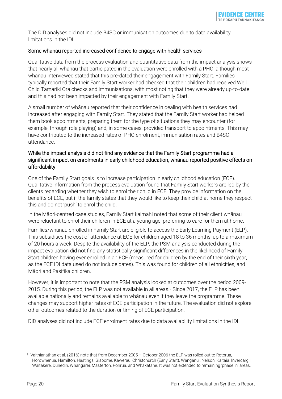The DiD analyses did not include B4SC or immunisation outcomes due to data availability limitations in the IDI.

#### Some whānau reported increased confidence to engage with health services

Qualitative data from the process evaluation and quantitative data from the impact analysis shows that nearly all whānau that participated in the evaluation were enrolled with a PHO, although most whānau interviewed stated that this pre-dated their engagement with Family Start. Families typically reported that their Family Start worker had checked that their children had received Well Child Tamariki Ora checks and immunisations, with most noting that they were already up-to-date and this had not been impacted by their engagement with Family Start.

A small number of whānau reported that their confidence in dealing with health services had increased after engaging with Family Start. They stated that the Family Start worker had helped them book appointments, preparing them for the type of situations they may encounter (for example, through role playing) and, in some cases, provided transport to appointments. This may have contributed to the increased rates of PHO enrolment, immunisation rates and B4SC attendance.

#### While the impact analysis did not find any evidence that the Family Start programme had a significant impact on enrolments in early childhood education, whānau reported positive effects on affordability

One of the Family Start goals is to increase participation in early childhood education (ECE). Qualitative information from the process evaluation found that Family Start workers are led by the clients regarding whether they wish to enrol their child in ECE. They provide information on the benefits of ECE, but if the family states that they would like to keep their child at home they respect this and do not 'push' to enrol the child.

In the Māori-centred case studies, Family Start kaimahi noted that some of their client whānau were reluctant to enrol their children in ECE at a young age, preferring to care for them at home.

Families/whānau enrolled in Family Start are eligible to access the Early Learning Payment (ELP). This subsidises the cost of attendance at ECE for children aged 18 to 36 months, up to a maximum of 20 hours a week. Despite the availability of the ELP, the PSM analysis conducted during the impact evaluation did not find any statistically significant differences in the likelihood of Family Start children having ever enrolled in an ECE (measured for children by the end of their sixth year, as the ECE IDI data used do not include dates). This was found for children of all ethnicities, and Māori and Pasifika children.

However, it is important to note that the PSM analysis looked at outcomes over the period 2009- 2015. During this period, the ELP was not available in all areas.<sup>[9](#page-19-0)</sup> Since 2017, the ELP has been available nationally and remains available to whānau even if they leave the programme. These changes may support higher rates of ECE participation in the future. The evaluation did not explore other outcomes related to the duration or timing of ECE participation.

DiD analyses did not include ECE enrolment rates due to data availability limitations in the IDI.

<span id="page-19-0"></span><sup>9</sup> Vaithianathan et al. (2016) note that from December 2005 – October 2006 the ELP was rolled out to Rotorua, Horowhenua, Hamilton, Hastings, Gisborne, Kawerau, Christchurch (Early Start), Wanganui, Nelson, Kaitaia, Invercargill, Waitakere, Dunedin, Whangarei, Masterton, Porirua, and Whakatane. It was not extended to remaining 'phase in' areas.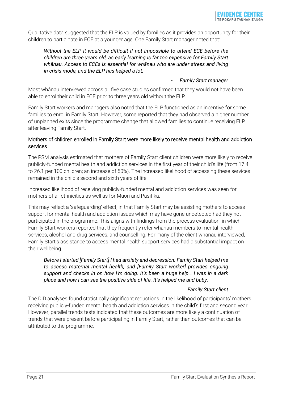Qualitative data suggested that the ELP is valued by families as it provides an opportunity for their children to participate in ECE at a younger age. One Family Start manager noted that:

#### *Without the ELP it would be difficult if not impossible to attend ECE before the children are three years old, as early learning is far too expensive for Family Start whānau. Access to ECEs is essential for whānau who are under stress and living in crisis mode, and the ELP has helped a lot.*

#### - *Family Start manager*

Most whānau interviewed across all five case studies confirmed that they would not have been able to enrol their child in ECE prior to three years old without the ELP.

Family Start workers and managers also noted that the ELP functioned as an incentive for some families to enrol in Family Start. However, some reported that they had observed a higher number of unplanned exits since the programme change that allowed families to continue receiving ELP after leaving Family Start.

#### Mothers of children enrolled in Family Start were more likely to receive mental health and addiction services

The PSM analysis estimated that mothers of Family Start client children were more likely to receive publicly-funded mental health and addiction services in the first year of their child's life (from 17.4 to 26.1 per 100 children; an increase of 50%). The increased likelihood of accessing these services remained in the child's second and sixth years of life.

Increased likelihood of receiving publicly-funded mental and addiction services was seen for mothers of all ethnicities as well as for Māori and Pasifika.

This may reflect a 'safeguarding' effect, in that Family Start may be assisting mothers to access support for mental health and addiction issues which may have gone undetected had they not participated in the programme. This aligns with findings from the process evaluation, in which Family Start workers reported that they frequently refer whānau members to mental health services, alcohol and drug services, and counselling. For many of the client whānau interviewed, Family Start's assistance to access mental health support services had a substantial impact on their wellbeing.

*Before I started [Family Start] I had anxiety and depression. Family Start helped me to access maternal mental health, and [Family Start worker] provides ongoing support and checks in on how I'm doing. It's been a huge help… I was in a dark place and now I can see the positive side of life. It's helped me and baby.* 

#### - *Family Start client*

<span id="page-20-0"></span>The DiD analyses found statistically significant reductions in the likelihood of participants' mothers receiving publicly-funded mental health and addiction services in the child's first and second year. However, parallel trends tests indicated that these outcomes are more likely a continuation of trends that were present before participating in Family Start, rather than outcomes that can be attributed to the programme.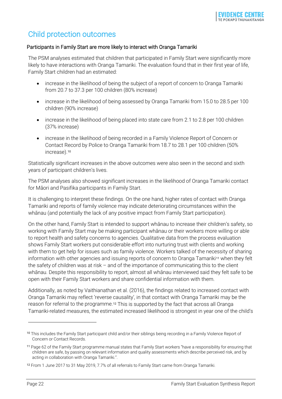## Child protection outcomes

#### Participants in Family Start are more likely to interact with Oranga Tamariki

The PSM analyses estimated that children that participated in Family Start were significantly more likely to have interactions with Oranga Tamariki. The evaluation found that in their first year of life, Family Start children had an estimated:

- increase in the likelihood of being the subject of a report of concern to Oranga Tamariki from 20.7 to 37.3 per 100 children (80% increase)
- increase in the likelihood of being assessed by Oranga Tamariki from 15.0 to 28.5 per 100 children (90% increase)
- increase in the likelihood of being placed into state care from 2.1 to 2.8 per 100 children (37% increase)
- increase in the likelihood of being recorded in a Family Violence Report of Concern or Contact Record by Police to Oranga Tamariki from 18.7 to 28.1 per 100 children (50% increase).[10](#page-21-0)

Statistically significant increases in the above outcomes were also seen in the second and sixth years of participant children's lives.

The PSM analyses also showed significant increases in the likelihood of Oranga Tamariki contact for Māori and Pasifika participants in Family Start.

It is challenging to interpret these findings. On the one hand, higher rates of contact with Oranga Tamariki and reports of family violence may indicate deteriorating circumstances within the whānau (and potentially the lack of any positive impact from Family Start participation).

On the other hand, Family Start is intended to support whānau to increase their children's safety, so working with Family Start may be making participant whānau or their workers more willing or able to report health and safety concerns to agencies. Qualitative data from the process evaluation shows Family Start workers put considerable effort into nurturing trust with clients and working with them to get help for issues such as family violence. Workers talked of the necessity of sharing information with other agencies and issuing reports of concern to Oranga Tamariki<sup>[11](#page-21-1)</sup> when they felt the safety of children was at risk – and of the importance of communicating this to the client whānau. Despite this responsibility to report, almost all whānau interviewed said they felt safe to be open with their Family Start workers and share confidential information with them.

Additionally, as noted by Vaithianathan et al. (2016), the findings related to increased contact with Oranga Tamariki may reflect 'reverse causality', in that contact with Oranga Tamariki may be the reason for referral to the programme.[12](#page-21-2) This is supported by the fact that across all Oranga Tamariki-related measures, the estimated increased likelihood is strongest in year one of the child's

<span id="page-21-0"></span><sup>10</sup> This includes the Family Start participant child and/or their siblings being recording in a Family Violence Report of Concern or Contact Records.

<span id="page-21-1"></span><sup>11</sup> Page 62 of the Family Start programme manual states that Family Start workers "have a responsibility for ensuring that children are safe, by passing on relevant information and quality assessments which describe perceived risk, and by acting in collaboration with Oranga Tamariki.".

<span id="page-21-2"></span><sup>12</sup> From 1 June 2017 to 31 May 2019, 7.7% of all referrals to Family Start came from Oranga Tamariki.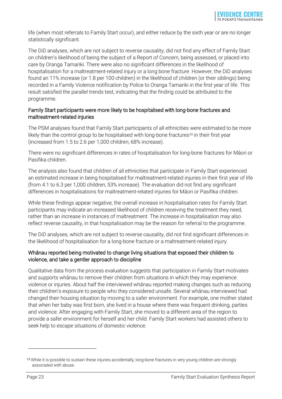life (when most referrals to Family Start occur), and either reduce by the sixth year or are no longer statistically significant.

The DiD analyses, which are not subject to reverse causality, did not find any effect of Family Start on children's likelihood of being the subject of a Report of Concern, being assessed, or placed into care by Oranga Tamariki. There were also no significant differences in the likelihood of hospitalisation for a maltreatment-related injury or a long bone fracture. However, the DiD analyses found an 11% increase (or 1.8 per 100 children) in the likelihood of children (or their siblings) being recorded in a Family Violence notification by Police to Oranga Tamariki in the first year of life. This result satisfied the parallel trends test, indicating that the finding could be attributed to the programme.

#### Family Start participants were more likely to be hospitalised with long-bone fractures and maltreatment-related injuries

The PSM analyses found that Family Start participants of all ethnicities were estimated to be more likely than the control group to be hospitalised with long-bone fractures<sup>[13](#page-22-0)</sup> in their first year (increased from 1.5 to 2.6 per 1,000 children; 68% increase).

There were no significant differences in rates of hospitalisation for long-bone fractures for Māori or Pasifika children.

The analysis also found that children of all ethnicities that participate in Family Start experienced an estimated increase in being hospitalised for maltreatment-related injuries in their first year of life (from 4.1 to 6.3 per 1,000 children; 53% increase). The evaluation did not find any significant differences in hospitalisations for maltreatment-related injuries for Māori or Pasifika children.

While these findings appear negative, the overall increase in hospitalisation rates for Family Start participants may indicate an increased likelihood of children receiving the treatment they need, rather than an increase in instances of maltreatment. The increase in hospitalisation may also reflect reverse causality, in that hospitalisation may be the reason for referral to the programme.

The DiD analyses, which are not subject to reverse causality, did not find significant differences in the likelihood of hospitalisation for a long-bone fracture or a maltreatment-related injury.

#### Whānau reported being motivated to change living situations that exposed their children to violence, and take a gentler approach to discipline

Qualitative data from the process evaluation suggests that participation in Family Start motivates and supports whānau to remove their children from situations in which they may experience violence or injuries. About half the interviewed whānau reported making changes such as reducing their children's exposure to people who they considered unsafe. Several whānau interviewed had changed their housing situation by moving to a safer environment. For example, one mother stated that when her baby was first born, she lived in a house where there was frequent drinking, parties and violence. After engaging with Family Start, she moved to a different area of the region to provide a safer environment for herself and her child. Family Start workers had assisted others to seek help to escape situations of domestic violence.

<span id="page-22-0"></span><sup>13</sup> While it is possible to sustain these injuries accidentally, long-bone fractures in very young children are strongly associated with abuse.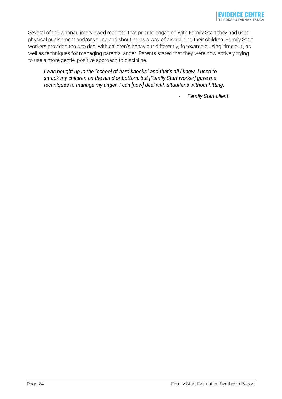Several of the whānau interviewed reported that prior to engaging with Family Start they had used physical punishment and/or yelling and shouting as a way of disciplining their children. Family Start workers provided tools to deal with children's behaviour differently, for example using 'time out', as well as techniques for managing parental anger. Parents stated that they were now actively trying to use a more gentle, positive approach to discipline.

<span id="page-23-0"></span>*I was bought up in the "school of hard knocks" and that's all I knew. I used to smack my children on the hand or bottom, but [Family Start worker] gave me techniques to manage my anger. I can [now] deal with situations without hitting.*

- *Family Start client*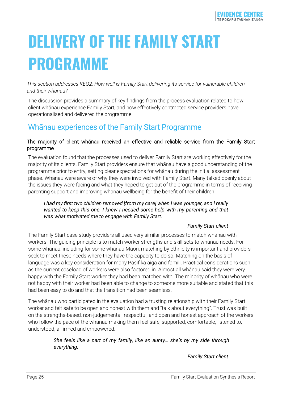## **DELIVERY OF THE FAMILY START PROGRAMME**

*This section addresses KEQ2: How well is Family Start delivering its service for vulnerable children and their whānau?*

The discussion provides a summary of key findings from the process evaluation related to how client whānau experience Family Start, and how effectively contracted service providers have operationalised and delivered the programme.

## <span id="page-24-0"></span>Whānau experiences of the Family Start Programme

#### The majority of client whānau received an effective and reliable service from the Family Start programme

The evaluation found that the processes used to deliver Family Start are working effectively for the majority of its clients. Family Start providers ensure that whānau have a good understanding of the programme prior to entry, setting clear expectations for whānau during the initial assessment phase. Whānau were aware of why they were involved with Family Start. Many talked openly about the issues they were facing and what they hoped to get out of the programme in terms of receiving parenting support and improving whānau wellbeing for the benefit of their children.

#### *I had my first two children removed [from my care] when I was younger, and I really wanted to keep this one. I knew I needed some help with my parenting and that was what motivated me to engage with Family Start.*

#### - *Family Start client*

The Family Start case study providers all used very similar processes to match whānau with workers. The guiding principle is to match worker strengths and skill sets to whānau needs. For some whānau, including for some whānau Māori, matching by ethnicity is important and providers seek to meet these needs where they have the capacity to do so. Matching on the basis of language was a key consideration for many Pasifika aiga and fāmili. Practical considerations such as the current caseload of workers were also factored in. Almost all whānau said they were very happy with the Family Start worker they had been matched with. The minority of whānau who were not happy with their worker had been able to change to someone more suitable and stated that this had been easy to do and that the transition had been seamless.

The whānau who participated in the evaluation had a trusting relationship with their Family Start worker and felt safe to be open and honest with them and "talk about everything". Trust was built on the strengths-based, non-judgemental, respectful, and open and honest approach of the workers who follow the pace of the whānau making them feel safe, supported, comfortable, listened to, understood, affirmed and empowered.

#### *She feels like a part of my family, like an aunty… she's by my side through everything.*

- *Family Start client*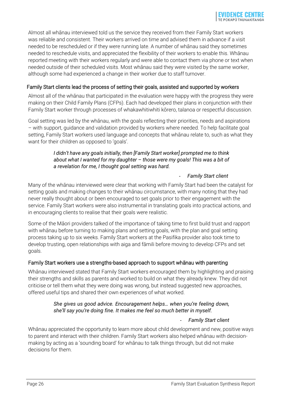Almost all whānau interviewed told us the service they received from their Family Start workers was reliable and consistent. Their workers arrived on time and advised them in advance if a visit needed to be rescheduled or if they were running late. A number of whānau said they sometimes needed to reschedule visits, and appreciated the flexibility of their workers to enable this. Whānau reported meeting with their workers regularly and were able to contact them via phone or text when needed outside of their scheduled visits. Most whānau said they were visited by the same worker, although some had experienced a change in their worker due to staff turnover.

#### Family Start clients lead the process of setting their goals, assisted and supported by workers

Almost all of the whānau that participated in the evaluation were happy with the progress they were making on their Child Family Plans (CFPs). Each had developed their plans in conjunction with their Family Start worker through processes of whakawhitiwhiti kōrero, talanoa or respectful discussion.

Goal setting was led by the whānau, with the goals reflecting their priorities, needs and aspirations – with support, guidance and validation provided by workers where needed. To help facilitate goal setting, Family Start workers used language and concepts that whānau relate to, such as what they want for their children as opposed to 'goals'.

#### *I didn't have any goals initially, then [Family Start worker] prompted me to think about what I wanted for my daughter – those were my goals! This was a bit of a revelation for me, I thought goal setting was hard.*

#### - *Family Start client*

Many of the whānau interviewed were clear that working with Family Start had been the catalyst for setting goals and making changes to their whānau circumstance, with many noting that they had never really thought about or been encouraged to set goals prior to their engagement with the service. Family Start workers were also instrumental in translating goals into practical actions, and in encouraging clients to realise that their goals were realistic.

Some of the Māori providers talked of the importance of taking time to first build trust and rapport with whānau before turning to making plans and setting goals, with the plan and goal setting process taking up to six weeks. Family Start workers at the Pasifika provider also took time to develop trusting, open relationships with aiga and fāmili before moving to develop CFPs and set goals.

#### Family Start workers use a strengths-based approach to support whānau with parenting

Whānau interviewed stated that Family Start workers encouraged them by highlighting and praising their strengths and skills as parents and worked to build on what they already knew. They did not criticise or tell them what they were doing was wrong, but instead suggested new approaches, offered useful tips and shared their own experiences of what worked.

#### *She gives us good advice. Encouragement helps… when you're feeling down, she'll say you're doing fine. It makes me feel so much better in myself.*

#### - *Family Start client*

Whānau appreciated the opportunity to learn more about child development and new, positive ways to parent and interact with their children. Family Start workers also helped whānau with decisionmaking by acting as a 'sounding board' for whānau to talk things through, but did not make decisions for them.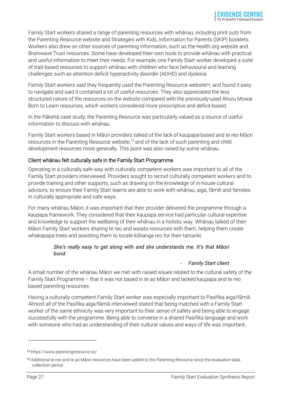Family Start workers shared a range of parenting resources with whānau, including print outs from the Parenting Resource website and Strategies with Kids, Information for Parents (SKIP) booklets. Workers also drew on other sources of parenting information, such as the health.org website and Brainwave Trust resources. Some have developed their own tools to provide whānau with practical and useful information to meet their needs. For example, one Family Start worker developed a suite of trait-based resources to support whānau with children who face behavioural and learning challenges such as attention deficit hyperactivity disorder (ADHD) and dyslexia.

Family Start workers said they frequently used the Parenting Resource website[14](#page-26-0), and found it easy to navigate and said it contained a lot of useful resources. They also appreciated the less structured nature of the resources on the website compared with the previously-used Ahuru Mowai Born to Learn resources, which workers considered more prescriptive and deficit-based.

In the Pākehā case study, the Parenting Resource was particularly valued as a source of useful information to discuss with whānau.

Family Start workers based in Māori providers talked of the lack of kaupapa-based and te reo Māori resources in the Parenting Resource website,<sup>[15](#page-26-1)</sup> and of the lack of such parenting and child development resources more generally. This point was also raised by some whānau.

#### Client whānau felt culturally safe in the Family Start Programme

Operating in a culturally safe way with culturally competent workers was important to all of the Family Start providers interviewed. Providers sought to recruit culturally competent workers and to provide training and other supports, such as drawing on the knowledge of in-house cultural advisors, to ensure their Family Start teams are able to work with whānau, aiga, fāmili and families in culturally appropriate and safe ways.

For many whānau Māori, it was important that their provider delivered the programme through a kaupapa framework. They considered that their kaupapa service had particular cultural expertise and knowledge to support the wellbeing of their whānau in a holistic way. Whānau talked of their Māori Family Start workers sharing te reo and waiata resources with them, helping them create whakapapa trees and assisting them to locate kōhanga reo for their tamariki.

#### *She's really easy to get along with and she understands me. It's that Māori bond.*

#### - *Family Start client*

A small number of the whānau Māori we met with raised issues related to the cultural safety of the Family Start Programme – that it was not based in te ao Māori and lacked kaupapa and te reo based parenting resources.

Having a culturally competent Family Start worker was especially important to Pasifika aiga/fāmili. Almost all of the Pasifika aiga/fāmili interviewed stated that being matched with a Family Start worker of the same ethnicity was very important to their sense of safety and being able to engage successfully with the programme. Being able to converse in a shared Pasifika language and work with someone who had an understanding of their cultural values and ways of life was important.

<span id="page-26-0"></span><sup>14</sup> https://www.parentingresource.nz/

<span id="page-26-1"></span><sup>15</sup> Additional te reo and te ao Māori resources have been added to the Parenting Resource since the evaluation data collection period.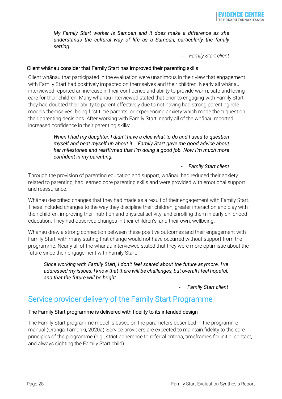*My Family Start worker is Samoan and it does make a difference as she understands the cultural way of life as a Samoan, particularly the family setting.*

- *Family Start client*

#### Client whānau consider that Family Start has improved their parenting skills

Client whānau that participated in the evaluation were unanimous in their view that engagement with Family Start had positively impacted on themselves and their children. Nearly all whānau interviewed reported an increase in their confidence and ability to provide warm, safe and loving care for their children. Many whānau interviewed stated that prior to engaging with Family Start they had doubted their ability to parent effectively due to not having had strong parenting role models themselves, being first time parents, or experiencing anxiety which made them question their parenting decisions. After working with Family Start, nearly all of the whānau reported increased confidence in their parenting skills:

#### *When I had my daughter, I didn't have a clue what to do and I used to question myself and beat myself up about it... Family Start gave me good advice about her milestones and reaffirmed that I'm doing a good job. Now I'm much more confident in my parenting.*

*- Family Start client*

Through the provision of parenting education and support, whānau had reduced their anxiety related to parenting, had learned core parenting skills and were provided with emotional support and reassurance.

Whānau described changes that they had made as a result of their engagement with Family Start. These included changes to the way they discipline their children, greater interaction and play with their children, improving their nutrition and physical activity, and enrolling them in early childhood education. They had observed changes in their children's, and their own, wellbeing.

Whānau drew a strong connection between these positive outcomes and their engagement with Family Start, with many stating that change would not have occurred without support from the programme. Nearly all of the whānau interviewed stated that they were more optimistic about the future since their engagement with Family Start.

*Since working with Family Start, I don't feel scared about the future anymore. I've addressed my issues. I know that there will be challenges, but overall I feel hopeful, and that the future will be bright.*

- *Family Start client*

### <span id="page-27-0"></span>Service provider delivery of the Family Start Programme

#### The Family Start programme is delivered with fidelity to its intended design

The Family Start programme model is based on the parameters described in the programme manual (Oranga Tamariki, 2020a). Service providers are expected to maintain fidelity to the core principles of the programme (e.g., strict adherence to referral criteria, timeframes for initial contact, and always sighting the Family Start child).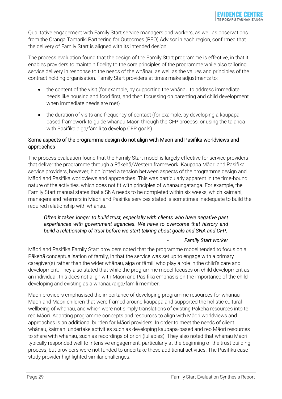Qualitative engagement with Family Start service managers and workers, as well as observations from the Oranga Tamariki Partnering for Outcomes (PFO) Advisor in each region, confirmed that the delivery of Family Start is aligned with its intended design.

The process evaluation found that the design of the Family Start programme is effective, in that it enables providers to maintain fidelity to the core principles of the programme while also tailoring service delivery in response to the needs of the whānau as well as the values and principles of the contract holding organisation. Family Start providers at times make adjustments to:

- the content of the visit (for example, by supporting the whānau to address immediate needs like housing and food first, and then focussing on parenting and child development when immediate needs are met)
- the duration of visits and frequency of contact (for example, by developing a kaupapabased framework to guide whānau Māori through the CFP process, or using the talanoa with Pasifika aiga/fāmili to develop CFP goals).

#### Some aspects of the programme design do not align with Māori and Pasifika worldviews and approaches

The process evaluation found that the Family Start model is largely effective for service providers that deliver the programme through a Pākehā/Western framework. Kaupapa Māori and Pasifika service providers, however, highlighted a tension between aspects of the programme design and Māori and Pasifika worldviews and approaches. This was particularly apparent in the time-bound nature of the activities, which does not fit with principles of whanaungatanga. For example, the Family Start manual states that a SNA needs to be completed within six weeks, which kaimahi, managers and referrers in Māori and Pasifika services stated is sometimes inadequate to build the required relationship with whānau.

#### *Often it takes longer to build trust, especially with clients who have negative past experiences with government agencies. We have to overcome that history and build a relationship of trust before we start talking about goals and SNA and CFP.*

#### *- Family Start worker*

Māori and Pasifika Family Start providers noted that the programme model tended to focus on a Pākehā conceptualisation of family, in that the service was set up to engage with a primary caregiver(s) rather than the wider whānau, aiga or fāmili who play a role in the child's care and development. They also stated that while the programme model focuses on child development as an individual, this does not align with Māori and Pasifika emphasis on the importance of the child developing and existing as a whānau/aiga/fāmili member.

Māori providers emphasised the importance of developing programme resources for whānau Māori and Māori children that were framed around kaupapa and supported the holistic cultural wellbeing of whānau, and which were not simply translations of existing Pākehā resources into te reo Māori. Adapting programme concepts and resources to align with Māori worldviews and approaches is an additional burden for Māori providers. In order to meet the needs of client whānau, kaimahi undertake activities such as developing kaupapa-based and reo Māori resources to share with whānau, such as recordings of oriori (lullabies). They also noted that whānau Māori typically responded well to intensive engagement, particularly at the beginning of the trust building process, but providers were not funded to undertake these additional activities. The Pasifika case study provider highlighted similar challenges.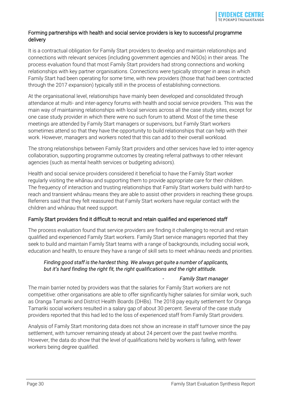#### Forming partnerships with health and social service providers is key to successful programme delivery

It is a contractual obligation for Family Start providers to develop and maintain relationships and connections with relevant services (including government agencies and NGOs) in their areas. The process evaluation found that most Family Start providers had strong connections and working relationships with key partner organisations. Connections were typically stronger in areas in which Family Start had been operating for some time, with new providers (those that had been contracted through the 2017 expansion) typically still in the process of establishing connections.

At the organisational level, relationships have mainly been developed and consolidated through attendance at multi- and inter-agency forums with health and social service providers. This was the main way of maintaining relationships with local services across all the case study sites, except for one case study provider in which there were no such forum to attend. Most of the time these meetings are attended by Family Start managers or supervisors, but Family Start workers sometimes attend so that they have the opportunity to build relationships that can help with their work. However, managers and workers noted that this can add to their overall workload.

The strong relationships between Family Start providers and other services have led to inter-agency collaboration, supporting programme outcomes by creating referral pathways to other relevant agencies (such as mental health services or budgeting advisors).

Health and social service providers considered it beneficial to have the Family Start worker regularly visiting the whānau and supporting them to provide appropriate care for their children. The frequency of interaction and trusting relationships that Family Start workers build with hard-toreach and transient whānau means they are able to assist other providers in reaching these groups. Referrers said that they felt reassured that Family Start workers have regular contact with the children and whānau that need support.

#### Family Start providers find it difficult to recruit and retain qualified and experienced staff

The process evaluation found that service providers are finding it challenging to recruit and retain qualified and experienced Family Start workers. Family Start service managers reported that they seek to build and maintain Family Start teams with a range of backgrounds, including social work, education and health, to ensure they have a range of skill sets to meet whānau needs and priorities.

#### *Finding good staff is the hardest thing. We always get quite a number of applicants, but it's hard finding the right fit, the right qualifications and the right attitude.*

#### *- Family Start manager*

The main barrier noted by providers was that the salaries for Family Start workers are not competitive: other organisations are able to offer significantly higher salaries for similar work, such as Oranga Tamariki and District Health Boards (DHBs). The 2018 pay equity settlement for Oranga Tamariki social workers resulted in a salary gap of about 30 percent. Several of the case study providers reported that this had led to the loss of experienced staff from Family Start providers.

Analysis of Family Start monitoring data does not show an increase in staff turnover since the pay settlement, with turnover remaining steady at about 24 percent over the past twelve months. However, the data do show that the level of qualifications held by workers is falling, with fewer workers being degree qualified.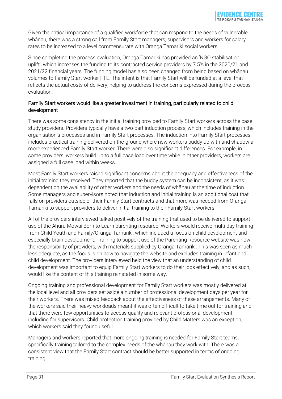Given the critical importance of a qualified workforce that can respond to the needs of vulnerable whānau, there was a strong call from Family Start managers, supervisors and workers for salary rates to be increased to a level commensurate with Oranga Tamariki social workers.

Since completing the process evaluation, Oranga Tamariki has provided an 'NGO stabilisation uplift', which increases the funding to its contracted service providers by 7.5% in the 2020/21 and 2021/22 financial years. The funding model has also been changed from being based on whānau volumes to Family Start worker FTE. The intent is that Family Start will be funded at a level that reflects the actual costs of delivery, helping to address the concerns expressed during the process evaluation.

#### Family Start workers would like a greater investment in training, particularly related to child development

There was some consistency in the initial training provided to Family Start workers across the case study providers. Providers typically have a two-part induction process, which includes training in the organisation's processes and in Family Start processes. The induction into Family Start processes includes practical training delivered on-the-ground where new workers buddy up with and shadow a more experienced Family Start worker. There were also significant differences. For example, in some providers, workers build up to a full case load over time while in other providers, workers are assigned a full case load within weeks.

Most Family Start workers raised significant concerns about the adequacy and effectiveness of the initial training they received. They reported that the buddy system can be inconsistent, as it was dependent on the availability of other workers and the needs of whānau at the time of induction. Some managers and supervisors noted that induction and initial training is an additional cost that falls on providers outside of their Family Start contracts and that more was needed from Oranga Tamariki to support providers to deliver initial training to their Family Start workers.

All of the providers interviewed talked positively of the training that used to be delivered to support use of the Ahuru Mowai Born to Learn parenting resource. Workers would receive multi-day training from Child Youth and Family/Oranga Tamariki, which included a focus on child development and especially brain development. Training to support use of the Parenting Resource website was now the responsibility of providers, with materials supplied by Oranga Tamariki. This was seen as much less adequate, as the focus is on how to navigate the website and excludes training in infant and child development. The providers interviewed held the view that an understanding of child development was important to equip Family Start workers to do their jobs effectively, and as such, would like the content of this training reinstated in some way.

Ongoing training and professional development for Family Start workers was mostly delivered at the local level and all providers set aside a number of professional development days per year for their workers. There was mixed feedback about the effectiveness of these arrangements. Many of the workers said their heavy workloads meant it was often difficult to take time out for training and that there were few opportunities to access quality and relevant professional development, including for supervisors. Child protection training provided by Child Matters was an exception, which workers said they found useful.

Managers and workers reported that more ongoing training is needed for Family Start teams, specifically training tailored to the complex needs of the whānau they work with. There was a consistent view that the Family Start contract should be better supported in terms of ongoing training.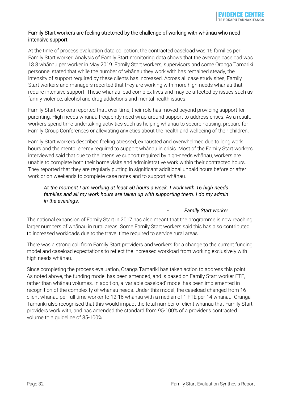#### Family Start workers are feeling stretched by the challenge of working with whānau who need intensive support

At the time of process evaluation data collection, the contracted caseload was 16 families per Family Start worker. Analysis of Family Start monitoring data shows that the average caseload was 13.8 whānau per worker in May 2019. Family Start workers, supervisors and some Oranga Tamariki personnel stated that while the number of whānau they work with has remained steady, the intensity of support required by these clients has increased. Across all case study sites, Family Start workers and managers reported that they are working with more high-needs whānau that require intensive support. These whānau lead complex lives and may be affected by issues such as family violence, alcohol and drug addictions and mental health issues.

Family Start workers reported that, over time, their role has moved beyond providing support for parenting. High-needs whānau frequently need wrap-around support to address crises. As a result, workers spend time undertaking activities such as helping whānau to secure housing, prepare for Family Group Conferences or alleviating anxieties about the health and wellbeing of their children.

Family Start workers described feeling stressed, exhausted and overwhelmed due to long work hours and the mental energy required to support whānau in crisis. Most of the Family Start workers interviewed said that due to the intensive support required by high-needs whānau, workers are unable to complete both their home visits and administrative work within their contracted hours. They reported that they are regularly putting in significant additional unpaid hours before or after work or on weekends to complete case notes and to support whānau.

#### *At the moment I am working at least 50 hours a week. I work with 16 high needs families and all my work hours are taken up with supporting them. I do my admin in the evenings.*

#### *- Family Start worker*

The national expansion of Family Start in 2017 has also meant that the programme is now reaching larger numbers of whānau in rural areas. Some Family Start workers said this has also contributed to increased workloads due to the travel time required to service rural areas.

There was a strong call from Family Start providers and workers for a change to the current funding model and caseload expectations to reflect the increased workload from working exclusively with high needs whānau.

Since completing the process evaluation, Oranga Tamariki has taken action to address this point. As noted above, the funding model has been amended, and is based on Family Start worker FTE, rather than whānau volumes. In addition, a 'variable caseload' model has been implemented in recognition of the complexity of whānau needs. Under this model, the caseload changed from 16 client whānau per full time worker to 12-16 whānau with a median of 1 FTE per 14 whānau. Oranga Tamariki also recognised that this would impact the total number of client whānau that Family Start providers work with, and has amended the standard from 95-100% of a provider's contracted volume to a guideline of 85-100%.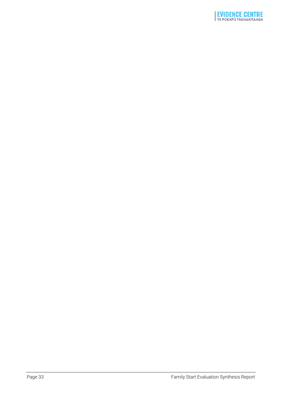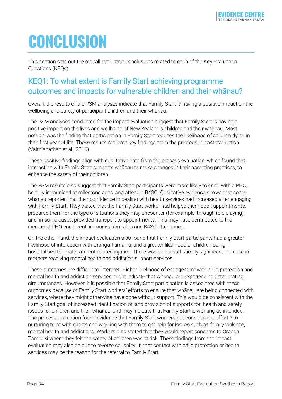# <span id="page-33-0"></span>**CONCLUSION**

This section sets out the overall evaluative conclusions related to each of the Key Evaluation Questions (KEQs).

## <span id="page-33-1"></span>KEQ1: To what extent is Family Start achieving programme outcomes and impacts for vulnerable children and their whānau?

Overall, the results of the PSM analyses indicate that Family Start is having a positive impact on the wellbeing and safety of participant children and their whānau.

The PSM analyses conducted for the impact evaluation suggest that Family Start is having a positive impact on the lives and wellbeing of New Zealand's children and their whānau. Most notable was the finding that participation in Family Start reduces the likelihood of children dying in their first year of life. These results replicate key findings from the previous impact evaluation (Vaithianathan et al., 2016).

These positive findings align with qualitative data from the process evaluation, which found that interaction with Family Start supports whānau to make changes in their parenting practices, to enhance the safety of their children.

The PSM results also suggest that Family Start participants were more likely to enrol with a PHO, be fully immunised at milestone ages, and attend a B4SC. Qualitative evidence shows that some whānau reported that their confidence in dealing with health services had increased after engaging with Family Start. They stated that the Family Start worker had helped them book appointments, prepared them for the type of situations they may encounter (for example, through role playing) and, in some cases, provided transport to appointments. This may have contributed to the increased PHO enrolment, immunisation rates and B4SC attendance.

On the other hand, the impact evaluation also found that Family Start participants had a greater likelihood of interaction with Oranga Tamariki, and a greater likelihood of children being hospitalised for maltreatment-related injuries. There was also a statistically significant increase in mothers receiving mental health and addiction support services.

These outcomes are difficult to interpret. Higher likelihood of engagement with child protection and mental health and addiction services might indicate that whānau are experiencing deteriorating circumstances. However, it is possible that Family Start participation is associated with these outcomes because of Family Start workers' efforts to ensure that whānau are being connected with services, where they might otherwise have gone without support. This would be consistent with the Family Start goal of increased identification of, and provision of supports for, health and safety issues for children and their whānau, and may indicate that Family Start is working as intended. The process evaluation found evidence that Family Start workers put considerable effort into nurturing trust with clients and working with them to get help for issues such as family violence, mental health and addictions. Workers also stated that they would report concerns to Oranga Tamariki where they felt the safety of children was at risk. These findings from the impact evaluation may also be due to reverse causality, in that contact with child protection or health services may be the reason for the referral to Family Start.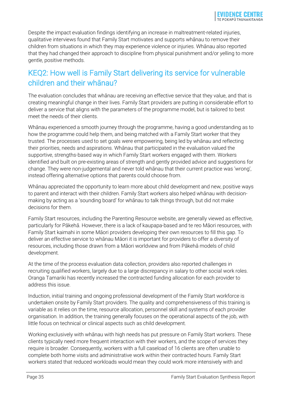Despite the impact evaluation findings identifying an increase in maltreatment-related injuries, qualitative interviews found that Family Start motivates and supports whānau to remove their children from situations in which they may experience violence or injuries. Whānau also reported that they had changed their approach to discipline from physical punishment and/or yelling to more gentle, positive methods.

## <span id="page-34-0"></span>KEQ2: How well is Family Start delivering its service for vulnerable children and their whānau?

The evaluation concludes that whānau are receiving an effective service that they value, and that is creating meaningful change in their lives. Family Start providers are putting in considerable effort to deliver a service that aligns with the parameters of the programme model, but is tailored to best meet the needs of their clients.

Whānau experienced a smooth journey through the programme, having a good understanding as to how the programme could help them, and being matched with a Family Start worker that they trusted. The processes used to set goals were empowering, being led by whānau and reflecting their priorities, needs and aspirations. Whānau that participated in the evaluation valued the supportive, strengths-based way in which Family Start workers engaged with them. Workers identified and built on pre-existing areas of strength and gently provided advice and suggestions for change. They were non-judgemental and never told whānau that their current practice was 'wrong', instead offering alternative options that parents could choose from.

Whānau appreciated the opportunity to learn more about child development and new, positive ways to parent and interact with their children. Family Start workers also helped whānau with decisionmaking by acting as a 'sounding board' for whānau to talk things through, but did not make decisions for them.

Family Start resources, including the Parenting Resource website, are generally viewed as effective, particularly for Pākehā. However, there is a lack of kaupapa-based and te reo Māori resources, with Family Start kaimahi in some Māori providers developing their own resources to fill this gap. To deliver an effective service to whānau Māori it is important for providers to offer a diversity of resources, including those drawn from a Māori worldview and from Pākehā models of child development.

At the time of the process evaluation data collection, providers also reported challenges in recruiting qualified workers, largely due to a large discrepancy in salary to other social work roles. Oranga Tamariki has recently increased the contracted funding allocation for each provider to address this issue.

Induction, initial training and ongoing professional development of the Family Start workforce is undertaken onsite by Family Start providers. The quality and comprehensiveness of this training is variable as it relies on the time, resource allocation, personnel skill and systems of each provider organisation. In addition, the training generally focuses on the operational aspects of the job, with little focus on technical or clinical aspects such as child development.

Working exclusively with whānau with high needs has put pressure on Family Start workers. These clients typically need more frequent interaction with their workers, and the scope of services they require is broader. Consequently, workers with a full caseload of 16 clients are often unable to complete both home visits and administrative work within their contracted hours. Family Start workers stated that reduced workloads would mean they could work more intensively with and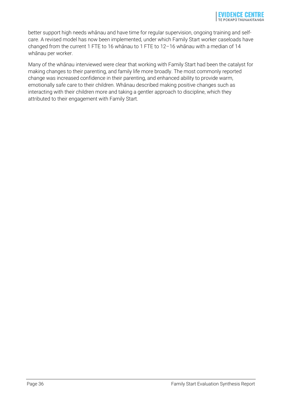better support high needs whānau and have time for regular supervision, ongoing training and selfcare. A revised model has now been implemented, under which Family Start worker caseloads have changed from the current 1 FTE to 16 whānau to 1 FTE to 12–16 whānau with a median of 14 whānau per worker.

Many of the whānau interviewed were clear that working with Family Start had been the catalyst for making changes to their parenting, and family life more broadly. The most commonly reported change was increased confidence in their parenting, and enhanced ability to provide warm, emotionally safe care to their children. Whānau described making positive changes such as interacting with their children more and taking a gentler approach to discipline, which they attributed to their engagement with Family Start.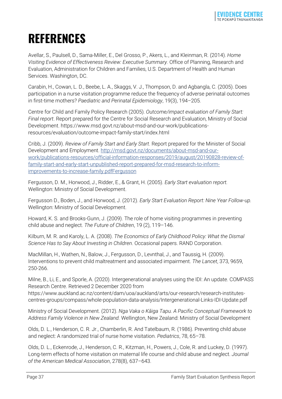## <span id="page-36-0"></span>**REFERENCES**

Avellar, S., Paulsell, D., Sama-Miller, E., Del Grosso, P., Akers, L., and Kleinman, R. (2014). *Home Visiting Evidence of Effectiveness Review: Executive Summary.* Office of Planning, Research and Evaluation, Administration for Children and Families, U.S. Department of Health and Human Services. Washington, DC.

Carabin, H., Cowan, L. D., Beebe, L. A., Skaggs, V. J., Thompson, D. and Agbangla, C. (2005). Does participation in a nurse visitation programme reduce the frequency of adverse perinatal outcomes in first-time mothers? *Paediatric and Perinatal Epidemiology*, 19(3), 194–205.

Centre for Child and Family Policy Research (2005). *Outcome/impact evaluation of Family Start: Final report*. Report prepared for the Centre for Social Research and Evaluation, Ministry of Social Development. https://www.msd.govt.nz/about-msd-and-our-work/publicationsresources/evaluation/outcome-impact-family-start/index.html

Cribb, J. (2009). *Review of Family Start and Early Start*. Report prepared for the Minister of Social Development and Employment. [http://msd.govt.nz/documents/about](http://msd.govt.nz/documents/about-msd-and-our-work/publications-resources/official-information-responses/2019/august/20190828-review-of-family-start-and-early-start-unpublished-report-prepared-for-msd-research-to-inform-improvements-to-increase-family.pdfFergusson)-msd-and-our[work/publications-resources/official-information-responses/2019/august/20190828-review-of](http://msd.govt.nz/documents/about-msd-and-our-work/publications-resources/official-information-responses/2019/august/20190828-review-of-family-start-and-early-start-unpublished-report-prepared-for-msd-research-to-inform-improvements-to-increase-family.pdfFergusson)[family-start-and-early-start-unpublished-report-prepared-for-msd-research-to-inform](http://msd.govt.nz/documents/about-msd-and-our-work/publications-resources/official-information-responses/2019/august/20190828-review-of-family-start-and-early-start-unpublished-report-prepared-for-msd-research-to-inform-improvements-to-increase-family.pdfFergusson)[improvements-to-increase-](http://msd.govt.nz/documents/about-msd-and-our-work/publications-resources/official-information-responses/2019/august/20190828-review-of-family-start-and-early-start-unpublished-report-prepared-for-msd-research-to-inform-improvements-to-increase-family.pdfFergusson)family.pdfFergusson

Fergusson, D. M., Horwood, J., Ridder, E., & Grant, H. (2005). *Early Start evaluation report.*  Wellington: Ministry of Social Development.

Fergusson D., Boden, J., and Horwood, J. (2012). *Early Start Evaluation Report: Nine Year Follow-up.* Wellington: Ministry of Social Development.

Howard, K. S. and Brooks-Gunn, J. (2009). The role of home visiting programmes in preventing child abuse and neglect. *The Future of Children*, 19 (2), 119–146.

Kilburn, M. R. and Karoly, L. A. (2008). *The Economics of Early Childhood Policy: What the Dismal Science Has to Say About Investing in Children*. Occasional papers. RAND Corporation.

MacMillan, H., Wathen, N., Balow, J., Fergusson, D., Levnthal, J., and Taussig, H. (2009). Interventions to prevent child maltreatment and associated impairment. *The Lancet*, 373, 9659, 250-266.

Milne, B., Li, E., and Sporle, A. (2020). Intergenerational analyses using the IDI: An update. COMPASS Research Centre. Retrieved 2 December 2020 from

https://www.auckland.ac.nz/content/dam/uoa/auckland/arts/our-research/research-institutescentres-groups/compass/whole-population-data-analysis/Intergenerational-Links-IDI-Update.pdf

Ministry of Social Development. (2012). *Nga Vaka o Kāiga Tapu. A Pacific Conceptual Framework to Address Family Violence in New Zealand.* Wellington, New Zealand: Ministry of Social Development

Olds, D. L., Henderson, C. R. Jr., Chamberlin, R. And Tatelbaum, R. (1986). Preventing child abuse and neglect: A randomized trial of nurse home visitation. *Pediatrics*, 78, 65–78.

Olds, D. L., Eckenrode, J., Henderson, C. R., Kitzman, H., Powers, J., Cole, R. and Luckey, D. (1997). Long-term effects of home visitation on maternal life course and child abuse and neglect. *Journal of the American Medical Association*, 278(8), 637–643.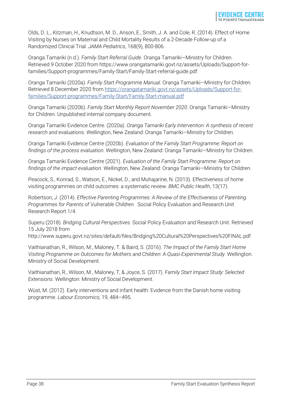Olds, D. L., Kitzman, H., Knudtson, M. D., Anson, E., Smith, J. A. and Cole, R. (2014). Effect of Home Visiting by Nurses on Maternal and Child Mortality Results of a 2-Decade Follow-up of a Randomized Clinical Trial. *JAMA Pediatrics*, 168(9), 800-806.

Oranga Tamariki (n.d.). *Family Start Referral Guide.* Oranga Tamariki—Ministry for Children. Retrieved 9 October 2020 from https://www.orangatamariki.govt.nz/assets/Uploads/Support-forfamilies/Support-programmes/Family-Start/Family-Start-referral-guide.pdf

Oranga Tamariki (2020a). *Family Start Programme Manual.* Oranga Tamariki—Ministry for Children. Retrieved 8 December 2020 from [https://orangatamariki.govt.nz/assets/Uploads/Su](https://orangatamariki.govt.nz/assets/Uploads/Support-for-families/Support-programmes/Family-Start/Family-Start-manual.pdf)pport-for[families/Support-programmes/Family-Start/Family-Start-](https://orangatamariki.govt.nz/assets/Uploads/Support-for-families/Support-programmes/Family-Start/Family-Start-manual.pdf)manual.pdf

Oranga Tamariki (2020b). *Family Start Monthly Report November 2020.* Oranga Tamariki—Ministry for Children. Unpublished internal company document.

Oranga Tamariki Evidence Centre. (2020a). *Oranga Tamariki Early Intervention: A synthesis of recent research and evaluations.* Wellington, New Zealand: Oranga Tamariki—Ministry for Children.

Oranga Tamariki Evidence Centre (2020b). *Evaluation of the Family Start Programme: Report on findings of the process evaluation.* Wellington, New Zealand: Oranga Tamariki—Ministry for Children.

Oranga Tamariki Evidence Centre (2021). *Evaluation of the Family Start Programme: Report on findings of the impact evaluation.* Wellington, New Zealand: Oranga Tamariki—Ministry for Children.

Peacock, S., Konrad, S., Watson, E., Nickel, D., and Muhajarine, N. (2013). Effectiveness of home visiting programmes on child outcomes: a systematic review. *BMC Public Health*, 13(17).

Robertson, J. (2014). *Effective Parenting Programmes: A Review of the Effectiveness of Parenting Programmes for Parents of Vulnerable Children.* Social Policy Evaluation and Research Unit Research Report 1/4.

Superu (2018). *Bridging Cultural Perspectives.* Social Policy Evaluation and Research Unit. Retrieved 15 July 2018 from

http://www.superu.govt.nz/sites/default/files/Bridging%20Cultural%20Perspectives%20FINAL.pdf

Vaithianathan, R., Wilson, M., Maloney, T. & Baird, S. (2016). *The Impact of the Family Start Home Visiting Programme on Outcomes for Mothers and Children: A Quasi-Experimental Study*. Wellington: Ministry of Social Development.

Vaithianathan, R., Wilson, M., Maloney, T, & Joyce, S. (2017). *Family Start Impact Study: Selected Extensions*. Wellington: Ministry of Social Development.

Wüst, M. (2012). Early interventions and infant health: Evidence from the Danish home visiting programme*. Labour Economics,* 19, 484–495.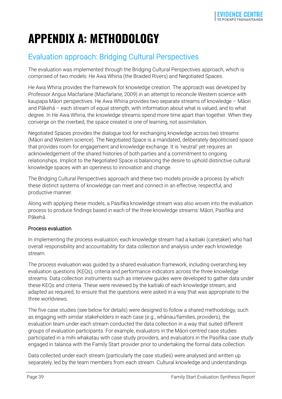## <span id="page-38-0"></span>**APPENDIX A: METHODOLOGY**

## Evaluation approach: Bridging Cultural Perspectives

The evaluation was implemented through the Bridging Cultural Perspectives approach, which is comprised of two models: He Awa Whiria (the Braided Rivers) and Negotiated Spaces.

He Awa Whiria provides the framework for knowledge creation. The approach was developed by Professor Angus Macfarlane (Macfarlane, 2009) in an attempt to reconcile Western science with kaupapa Māori perspectives. He Awa Whiria provides two separate streams of knowledge – Māori and Pākehā – each stream of equal strength, with information about what is valued, and to what degree. In He Awa Whiria, the knowledge streams spend more time apart than together. When they converge on the riverbed, the space created is one of learning, not assimilation.

Negotiated Spaces provides the dialogue tool for exchanging knowledge across two streams (Māori and Western science). The Negotiated Space is a mandated, deliberately depoliticised space that provides room for engagement and knowledge exchange. It is 'neutral' yet requires an acknowledgement of the shared histories of both parties and a commitment to ongoing relationships. Implicit to the Negotiated Space is balancing the desire to uphold distinctive cultural knowledge spaces with an openness to innovation and change.

The Bridging Cultural Perspectives approach and these two models provide a process by which these distinct systems of knowledge can meet and connect in an effective, respectful, and productive manner.

Along with applying these models, a Pasifika knowledge stream was also woven into the evaluation process to produce findings based in each of the three knowledge streams: Māori, Pasifika and Pākehā.

#### Process evaluation

In implementing the process evaluation, each knowledge stream had a kaitiaki (caretaker) who had overall responsibility and accountability for data collection and analysis under each knowledge stream.

The process evaluation was guided by a shared evaluation framework, including overarching key evaluation questions (KEQs), criteria and performance indicators across the three knowledge streams. Data collection instruments such as interview guides were developed to gather data under these KEQs and criteria. These were reviewed by the kaitiaki of each knowledge stream, and adapted as required, to ensure that the questions were asked in a way that was appropriate to the three worldviews.

The five case studies (see below for details) were designed to follow a shared methodology, such as engaging with similar stakeholders in each case (e.g., whānau/families, providers), the evaluation team under each stream conducted the data collection in a way that suited different groups of evaluation participants. For example, evaluators in the Māori-centred case studies participated in a mihi whakatau with case study providers, and evaluators in the Pasifika case study engaged in talanoa with the Family Start provider prior to undertaking the formal data collection.

Data collected under each stream (particularly the case studies) were analysed and written up separately, led by the team members from each stream. Cultural knowledge and understandings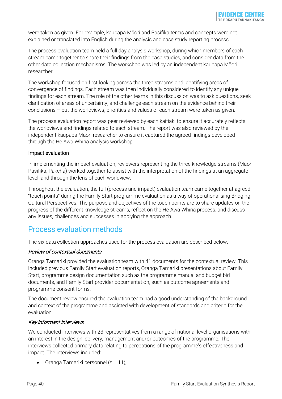were taken as given. For example, kaupapa Māori and Pasifika terms and concepts were not explained or translated into English during the analysis and case study reporting process.

The process evaluation team held a full day analysis workshop, during which members of each stream came together to share their findings from the case studies, and consider data from the other data collection mechanisms. The workshop was led by an independent kaupapa Māori researcher.

The workshop focused on first looking across the three streams and identifying areas of convergence of findings. Each stream was then individually considered to identify any unique findings for each stream. The role of the other teams in this discussion was to ask questions, seek clarification of areas of uncertainty, and challenge each stream on the evidence behind their conclusions – but the worldviews, priorities and values of each stream were taken as given.

The process evaluation report was peer reviewed by each kaitiaki to ensure it accurately reflects the worldviews and findings related to each stream. The report was also reviewed by the independent kaupapa Māori researcher to ensure it captured the agreed findings developed through the He Awa Whiria analysis workshop.

#### Impact evaluation

In implementing the impact evaluation, reviewers representing the three knowledge streams (Māori, Pasifika, Pākehā) worked together to assist with the interpretation of the findings at an aggregate level, and through the lens of each worldview.

Throughout the evaluation, the full (process and impact) evaluation team came together at agreed "touch points" during the Family Start programme evaluation as a way of operationalising Bridging Cultural Perspectives. The purpose and objectives of the touch points are to share updates on the progress of the different knowledge streams, reflect on the He Awa Whiria process, and discuss any issues, challenges and successes in applying the approach.

### Process evaluation methods

The six data collection approaches used for the process evaluation are described below.

#### Review of contextual documents

Oranga Tamariki provided the evaluation team with 41 documents for the contextual review. This included previous Family Start evaluation reports, Oranga Tamariki presentations about Family Start, programme design documentation such as the programme manual and budget bid documents, and Family Start provider documentation, such as outcome agreements and programme consent forms.

The document review ensured the evaluation team had a good understanding of the background and context of the programme and assisted with development of standards and criteria for the evaluation.

#### Key informant interviews

We conducted interviews with 23 representatives from a range of national-level organisations with an interest in the design, delivery, management and/or outcomes of the programme. The interviews collected primary data relating to perceptions of the programme's effectiveness and impact. The interviews included:

• Oranga Tamariki personnel (*n* = 11);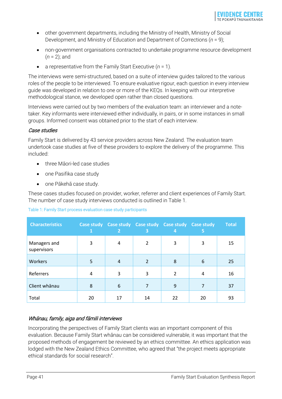- other government departments, including the Ministry of Health, Ministry of Social Development, and Ministry of Education and Department of Corrections (*n* = 9);
- non-government organisations contracted to undertake programme resource development (*n* = 2); and
- a representative from the Family Start Executive (*n* = 1).

The interviews were semi-structured, based on a suite of interview guides tailored to the various roles of the people to be interviewed. To ensure evaluative rigour, each question in every interview guide was developed in relation to one or more of the KEQs. In keeping with our interpretive methodological stance, we developed open rather than closed questions.

Interviews were carried out by two members of the evaluation team: an interviewer and a notetaker. Key informants were interviewed either individually, in pairs, or in some instances in small groups. Informed consent was obtained prior to the start of each interview.

#### Case studies

Family Start is delivered by 43 service providers across New Zealand. The evaluation team undertook case studies at five of these providers to explore the delivery of the programme. This included:

- three Māori-led case studies
- one Pasifika case study
- one Pākehā case study.

These cases studies focused on provider, worker, referrer and client experiences of Family Start. The number of case study interviews conducted is outlined in [Table 1](#page-40-0).

| <b>Characteristics</b>      |    | $\overline{2}$ | Case study Case study Case study Case study Case study<br>3 | $\overline{a}$ | 5  | <b>Total</b> |
|-----------------------------|----|----------------|-------------------------------------------------------------|----------------|----|--------------|
| Managers and<br>supervisors | 3  | 4              | $\overline{2}$                                              | 3              | 3  | 15           |
| Workers                     | 5  | 4              | $\overline{2}$                                              | 8              | 6  | 25           |
| Referrers                   | 4  | 3              | 3                                                           | $\overline{2}$ | 4  | 16           |
| Client whānau               | 8  | 6              |                                                             | 9              | 7  | 37           |
| Total                       | 20 | 17             | 14                                                          | 22             | 20 | 93           |

<span id="page-40-0"></span>

|  | Table 1: Family Start process evaluation case study participants |
|--|------------------------------------------------------------------|
|  |                                                                  |

#### Whānau, family, aiga and fāmili interviews

Incorporating the perspectives of Family Start clients was an important component of this evaluation. Because Family Start whānau can be considered vulnerable, it was important that the proposed methods of engagement be reviewed by an ethics committee. An ethics application was lodged with the New Zealand Ethics Committee, who agreed that "the project meets appropriate ethical standards for social research".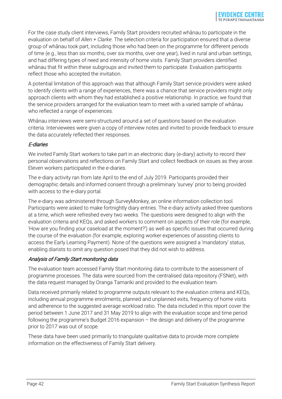For the case study client interviews, Family Start providers recruited whānau to participate in the evaluation on behalf of *Allen + Clarke*. The selection criteria for participation ensured that a diverse group of whānau took part, including those who had been on the programme for different periods of time (e.g., less than six months, over six months, over one year), lived in rural and urban settings, and had differing types of need and intensity of home visits. Family Start providers identified whānau that fit within these subgroups and invited them to participate. Evaluation participants reflect those who accepted the invitation.

A potential limitation of this approach was that although Family Start service providers were asked to identify clients with a range of experiences, there was a chance that service providers might only approach clients with whom they had established a positive relationship. In practice, we found that the service providers arranged for the evaluation team to meet with a varied sample of whānau who reflected a range of experiences.

Whānau interviews were semi-structured around a set of questions based on the evaluation criteria. Interviewees were given a copy of interview notes and invited to provide feedback to ensure the data accurately reflected their responses.

#### E-diaries

We invited Family Start workers to take part in an electronic diary (e-diary) activity to record their personal observations and reflections on Family Start and collect feedback on issues as they arose. Eleven workers participated in the e-diaries.

The e-diary activity ran from late April to the end of July 2019. Participants provided their demographic details and informed consent through a preliminary 'survey' prior to being provided with access to the e-diary portal.

The e-diary was administered through SurveyMonkey, an online information collection tool. Participants were asked to make fortnightly diary entries. The e-diary activity asked three questions at a time, which were refreshed every two weeks. The questions were designed to align with the evaluation criteria and KEQs, and asked workers to comment on aspects of their role (for example, 'How are you finding your caseload at the moment?') as well as specific issues that occurred during the course of the evaluation (for example, exploring worker experiences of assisting clients to access the Early Learning Payment). None of the questions were assigned a 'mandatory' status, enabling diarists to omit any question posed that they did not wish to address.

#### Analysis of Family Start monitoring data

The evaluation team accessed Family Start monitoring data to contribute to the assessment of programme processes. The data were sourced from the centralised data repository (FSNet), with the data request managed by Oranga Tamariki and provided to the evaluation team.

Data received primarily related to programme outputs relevant to the evaluation criteria and KEQs, including annual programme enrolments, planned and unplanned exits, frequency of home visits and adherence to the suggested average workload ratio. The data included in this report cover the period between 1 June 2017 and 31 May 2019 to align with the evaluation scope and time period following the programme's Budget 2016 expansion – the design and delivery of the programme prior to 2017 was out of scope.

These data have been used primarily to triangulate qualitative data to provide more complete information on the effectiveness of Family Start delivery.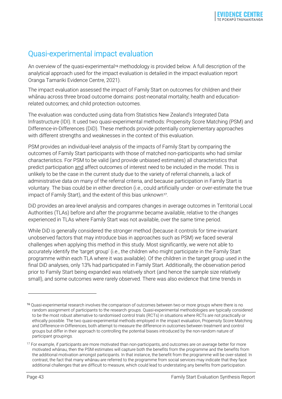## Quasi-experimental impact evaluation

An overview of the quasi-experimental<sup>[16](#page-42-0)</sup> methodology is provided below. A full description of the analytical approach used for the impact evaluation is detailed in the impact evaluation report Oranga Tamariki Evidence Centre, 2021).

The impact evaluation assessed the impact of Family Start on outcomes for children and their whānau across three broad outcome domains: post-neonatal mortality; health and educationrelated outcomes; and child protection outcomes.

The evaluation was conducted using data from Statistics New Zealand's Integrated Data Infrastructure (IDI). It used two quasi-experimental methods: Propensity Score Matching (PSM) and Difference-in-Differences (DiD). These methods provide potentially complementary approaches with different strengths and weaknesses in the context of this evaluation.

PSM provides an individual-level analysis of the impacts of Family Start by comparing the outcomes of Family Start participants with those of matched non-participants who had similar characteristics. For PSM to be valid (and provide unbiased estimates) all characteristics that predict participation and affect outcomes of interest need to be included in the model. This is unlikely to be the case in the current study due to the variety of referral channels, a lack of administrative data on many of the referral criteria, and because participation in Family Start is voluntary. The bias could be in either direction (i.e., could artificially under- or over-estimate the true impact of Family Start), and the extent of this bias unknown<sup>[17](#page-42-1)</sup>.

DiD provides an area-level analysis and compares changes in average outcomes in Territorial Local Authorities (TLAs) before and after the programme became available, relative to the changes experienced in TLAs where Family Start was not available, over the same time period.

While DiD is generally considered the stronger method (because it controls for time-invariant unobserved factors that may introduce bias in approaches such as PSM) we faced several challenges when applying this method in this study. Most significantly, we were not able to accurately identify the 'target group' (i.e., the children who might participate in the Family Start programme within each TLA where it was available). Of the children in the target group used in the final DiD analyses, only 13% had participated in Family Start. Additionally, the observation period prior to Family Start being expanded was relatively short (and hence the sample size relatively small), and some outcomes were rarely observed. There was also evidence that time trends in

<span id="page-42-0"></span><sup>16</sup> Quasi-experimental research involves the comparison of outcomes between two or more groups where there is no random assignment of participants to the research groups. Quasi-experimental methodologies are typically considered to be the most robust alternative to randomised control trials (RCTs) in situations where RCTs are not practically or ethically possible. The two quasi-experimental methods employed in the impact evaluation, Propensity Score Matching and Difference-in-Differences, both attempt to measure the difference in outcomes between treatment and control groups but differ in their approach to controlling the potential biases introduced by the non-random nature of participant groupings.

<span id="page-42-1"></span><sup>&</sup>lt;sup>17</sup> For example, if participants are more motivated than non-participants, and outcomes are on average better for more motivated whānau, then the PSM estimates will capture both the benefits from the programme and the benefits from the additional motivation amongst participants. In that instance, the benefit from the programme will be over-stated. In contrast, the fact that many whānau are referred to the programme from social services may indicate that they face additional challenges that are difficult to measure, which could lead to understating any benefits from participation.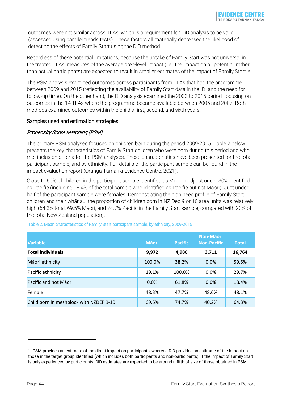outcomes were not similar across TLAs, which is a requirement for DiD analysis to be valid (assessed using parallel trends tests). These factors all materially decreased the likelihood of detecting the effects of Family Start using the DiD method.

Regardless of these potential limitations, because the uptake of Family Start was not universal in the treated TLAs, measures of the average area-level impact (i.e., the impact on all potential, rather than actual participants) are expected to result in smaller estimates of the impact of Family Start.[18](#page-43-1)

The PSM analysis examined outcomes across participants from TLAs that had the programme between 2009 and 2015 (reflecting the availability of Family Start data in the IDI and the need for follow-up time). On the other hand, the DiD analysis examined the 2003 to 2015 period, focusing on outcomes in the 14 TLAs where the programme became available between 2005 and 2007. Both methods examined outcomes within the child's first, second, and sixth years.

#### Samples used and estimation strategies

#### Propensity Score Matching (PSM)

The primary PSM analyses focused on children born during the period 2009-2015. [Table 2](#page-43-0) below presents the key characteristics of Family Start children who were born during this period and who met inclusion criteria for the PSM analyses. These characteristics have been presented for the total participant sample, and by ethnicity. Full details of the participant sample can be found in the impact evaluation report (Oranga Tamariki Evidence Centre, 2021).

Close to 60% of children in the participant sample identified as Māori, andj ust under 30% identified as Pacific (including 18.4% of the total sample who identified as Pacific but not Māori). Just under half of the participant sample were females. Demonstrating the high need profile of Family Start children and their whānau, the proportion of children born in NZ Dep 9 or 10 area units was relatively high (64.3% total, 69.5% Māori, and 74.7% Pacific in the Family Start sample, compared with 20% of the total New Zealand population).

| <b>Variable</b>                         | <b>M</b> aori | <b>Pacific</b> | <b>Non-Māori</b><br><b>Non-Pacific</b> | <b>Total</b> |
|-----------------------------------------|---------------|----------------|----------------------------------------|--------------|
| <b>Total individuals</b>                | 9,972         | 4,980          | 3,711                                  | 16,764       |
| Māori ethnicity                         | 100.0%        | 38.2%          | 0.0%                                   | 59.5%        |
| Pacific ethnicity                       | 19.1%         | 100.0%         | 0.0%                                   | 29.7%        |
| Pacific and not Maori                   | 0.0%          | 61.8%          | 0.0%                                   | 18.4%        |
| Female                                  | 48.3%         | 47.7%          | 48.6%                                  | 48.1%        |
| Child born in meshblock with NZDEP 9-10 | 69.5%         | 74.7%          | 40.2%                                  | 64.3%        |

<span id="page-43-0"></span>Table 2. Mean characteristics of Family Start participant sample, by ethnicity, 2009-2015

<span id="page-43-1"></span><sup>&</sup>lt;sup>18</sup> PSM provides an estimate of the direct impact on participants, whereas DiD provides an estimate of the impact on those in the target group identified (which includes both participants and non-participants). If the impact of Family Start is only experienced by participants, DiD estimates are expected to be around a fifth of size of those obtained in PSM.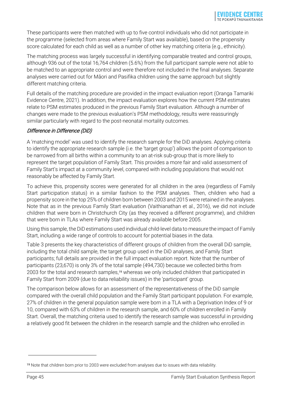These participants were then matched with up to five control individuals who did not participate in the programme (selected from areas where Family Start was available), based on the propensity score calculated for each child as well as a number of other key matching criteria (e.g., ethnicity).

The matching process was largely successful in identifying comparable treated and control groups, although 936 out of the total 16,764 children (5.6%) from the full participant sample were not able to be matched to an appropriate control and were therefore not included in the final analyses. Separate analyses were carried out for Māori and Pasifika children using the same approach but slightly different matching criteria.

Full details of the matching procedure are provided in the impact evaluation report (Oranga Tamariki Evidence Centre, 2021). In addition, the impact evaluation explores how the current PSM estimates relate to PSM estimates produced in the previous Family Start evaluation. Although a number of changes were made to the previous evaluation's PSM methodology, results were reassuringly similar particularly with regard to the post-neonatal mortality outcomes.

#### Difference in Difference (DiD)

A 'matching model' was used to identify the research sample for the DiD analyses. Applying criteria to identify the appropriate research sample (i.e. the 'target group') allows the point of comparison to be narrowed from all births within a community to an at-risk sub-group that is more likely to represent the target population of Family Start. This provides a more fair and valid assessment of Family Start's impact at a community level, compared with including populations that would not reasonably be affected by Family Start.

To achieve this, propensity scores were generated for all children in the area (regardless of Family Start participation status) in a similar fashion to the PSM analyses. Then, children who had a propensity score in the top 25% of children born between 2003 and 2015 were retained in the analyses. Note that as in the previous Family Start evaluation (Vaithianathan et al., 2016), we did not include children that were born in Christchurch City (as they received a different programme), and children that were born in TLAs where Family Start was already available before 2005.

Using this sample, the DiD estimations used individual child-level data to measure the impact of Family Start, including a wide range of controls to account for potential biases in the data.

[Table 3](#page-45-0) presents the key characteristics of different groups of children from the overall DiD sample, including the total child sample, the target group used in the DiD analyses, and Family Start participants; full details are provided in the full impact evaluation report. Note that the number of participants (23,670) is only 3% of the total sample (494,730) because we collected births from 2003 for the total and research samples,<sup>[19](#page-44-0)</sup> whereas we only included children that participated in Family Start from 2009 (due to data reliability issues) in the 'participant' group.

The comparison below allows for an assessment of the representativeness of the DiD sample compared with the overall child population and the Family Start participant population. For example, 27% of children in the general population sample were born in a TLA with a Deprivation Index of 9 or 10, compared with 63% of children in the research sample, and 60% of children enrolled in Family Start. Overall, the matching criteria used to identify the research sample was successful in providing a relatively good fit between the children in the research sample and the children who enrolled in

<span id="page-44-0"></span><sup>19</sup> Note that children born prior to 2003 were excluded from analyses due to issues with data reliability.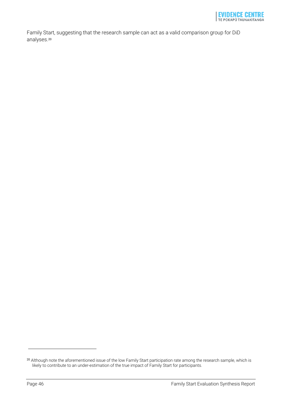<span id="page-45-0"></span>Family Start, suggesting that the research sample can act as a valid comparison group for DiD analyses.[20](#page-45-1)

<span id="page-45-1"></span><sup>&</sup>lt;sup>20</sup> Although note the aforementioned issue of the low Family Start participation rate among the research sample, which is likely to contribute to an under-estimation of the true impact of Family Start for participants.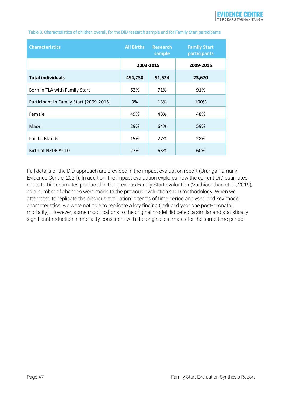| <b>Characteristics</b>                  | <b>All Births</b> | <b>Research</b><br>sample | <b>Family Start</b><br>participants |
|-----------------------------------------|-------------------|---------------------------|-------------------------------------|
|                                         | 2003-2015         |                           | 2009-2015                           |
| <b>Total individuals</b>                | 494,730           | 91,524                    | 23,670                              |
| Born in TLA with Family Start           | 62%               | 71%                       | 91%                                 |
| Participant in Family Start (2009-2015) | 3%                | 13%                       | 100%                                |
| Female                                  | 49%               | 48%                       | 48%                                 |
| Maori                                   | 29%               | 64%                       | 59%                                 |
| Pacific Islands                         | 15%               | 27%                       | 28%                                 |
| Birth at NZDEP9-10                      | 27%               | 63%                       | 60%                                 |

Table 3. Characteristics of children overall, for the DiD research sample and for Family Start participants

Full details of the DiD approach are provided in the impact evaluation report (Oranga Tamariki Evidence Centre, 2021). In addition, the impact evaluation explores how the current DiD estimates relate to DiD estimates produced in the previous Family Start evaluation (Vaithianathan et al., 2016), as a number of changes were made to the previous evaluation's DiD methodology. When we attempted to replicate the previous evaluation in terms of time period analysed and key model characteristics, we were not able to replicate a key finding (reduced year one post-neonatal mortality). However, some modifications to the original model did detect a similar and statistically significant reduction in mortality consistent with the original estimates for the same time period.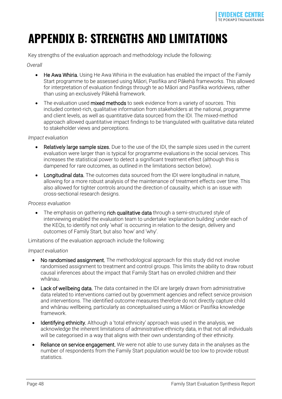## <span id="page-47-0"></span>**APPENDIX B: STRENGTHS AND LIMITATIONS**

Key strengths of the evaluation approach and methodology include the following:

#### *Overall*

- He Awa Whiria. Using He Awa Whiria in the evaluation has enabled the impact of the Family Start programme to be assessed using Māori, Pasifika and Pākehā frameworks. This allowed for interpretation of evaluation findings through te ao Māori and Pasifika worldviews, rather than using an exclusively Pākehā framework.
- The evaluation used mixed methods to seek evidence from a variety of sources. This included context-rich, qualitative information from stakeholders at the national, programme and client levels, as well as quantitative data sourced from the IDI. The mixed-method approach allowed quantitative impact findings to be triangulated with qualitative data related to stakeholder views and perceptions.

#### *Impact evaluation*

- Relatively large sample sizes. Due to the use of the IDI, the sample sizes used in the current evaluation were larger than is typical for programme evaluations in the social services. This increases the statistical power to detect a significant treatment effect (although this is dampened for rare outcomes, as outlined in the limitations section below).
- Longitudinal data. The outcomes data sourced from the IDI were longitudinal in nature, allowing for a more robust analysis of the maintenance of treatment effects over time. This also allowed for tighter controls around the direction of causality, which is an issue with cross-sectional research designs.

#### *Process evaluation*

• The emphasis on gathering rich qualitative data through a semi-structured style of interviewing enabled the evaluation team to undertake 'explanation building' under each of the KEQs, to identify not only 'what' is occurring in relation to the design, delivery and outcomes of Family Start, but also 'how' and 'why'.

Limitations of the evaluation approach include the following:

*Impact evaluation*

- No randomised assignment. The methodological approach for this study did not involve randomised assignment to treatment and control groups. This limits the ability to draw robust causal inferences about the impact that Family Start has on enrolled children and their whānau.
- **Lack of wellbeing data.** The data contained in the IDI are largely drawn from administrative data related to interventions carried out by government agencies and reflect service provision and interventions. The identified outcome measures therefore do not directly capture child and whānau wellbeing, particularly as conceptualised using a Māori or Pasifika knowledge framework.
- Identifying ethnicity. Although a 'total ethnicity' approach was used in the analysis, we acknowledge the inherent limitations of administrative ethnicity data, in that not all individuals will be categorised in a way that aligns with their own understanding of their ethnicity.
- Reliance on service engagement. We were not able to use survey data in the analyses as the number of respondents from the Family Start population would be too low to provide robust statistics.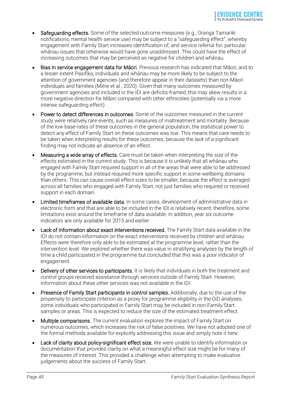- Safeguarding effects. Some of the selected outcome measures (e.g., Oranga Tamariki notifications, mental health service use) may be subject to a "safeguarding effect", whereby engagement with Family Start increases identification of, and service referral for, particular whānau issues that otherwise would have gone unaddressed. This could have the effect of increasing outcomes that may be perceived as negative for children and whānau.
- Bias in service engagement data for Māori. Previous research has indicated that Māori, and to a lesser extent Pasifika, individuals and whānau may be more likely to be subject to the attention of government agencies (and therefore appear in their datasets) than non-Māori individuals and families (Milne et al., 2020). Given that many outcomes measured by government agencies and included in the IDI are deficits-framed, this may skew results in a more negative direction for Māori compared with other ethnicities (potentially via a more intense safeguarding effect).
- Power to detect differences in outcomes. Some of the outcomes measured in the current study were relatively rare events, such as measures of maltreatment and mortality. Because of the low base-rates of these outcomes in the general population, the statistical power to detect any effect of Family Start on these outcomes was low. This means that care needs to be taken when interpreting results for these outcomes, because the lack of a significant finding may not indicate an absence of an effect.
- Measuring a wide array of effects. Care must be taken when interpreting the size of the effects estimated in the current study. This is because it is unlikely that all whānau who engaged with Family Start required support in all of the areas that were able to be addressed by the programme, but instead required more specific support in some wellbeing domains than others. This can cause overall effect sizes to be smaller, because the effect is averaged across all families who engaged with Family Start, not just families who required or received support in each domain.
- Limited timeframes of available data. In some cases, development of administrative data in electronic form and that are able to be included in the IDI is relatively recent; therefore, some limitations exist around the timeframe of data available. In addition, year six outcome indicators are only available for 2015 and earlier.
- Lack of information about exact interventions received. The Family Start data available in the IDI do not contain information on the exact interventions received by children and whānau. Effects were therefore only able to be estimated at the programme level, rather than the intervention level. We explored whether there was value in stratifying analyses by the length of time a child participated in the programme but concluded that this was a poor indicator of engagement.
- Delivery of other services to participants. It is likely that individuals in both the treatment and control groups received assistance through services outside of Family Start. However, information about these other services was not available in the IDI.
- Presence of Family Start participants in control samples. Additionally, due to the use of the propensity to participate criterion as a proxy for programme eligibility in the DiD analyses, some individuals who participated in Family Start may be included in non-Family Start samples or areas. This is expected to reduce the size of the estimated treatment effect.
- Multiple comparisons. The current evaluation explores the impact of Family Start on numerous outcomes, which increases the risk of false positives. We have not adopted one of the formal methods available for explicitly addressing this issue and simply note it here.
- Lack of clarity about policy-significant effect size. We were unable to identify information or documentation that provides clarity on what a meaningful effect size might be for many of the measures of interest. This provided a challenge when attempting to make evaluative judgements about the success of Family Start.